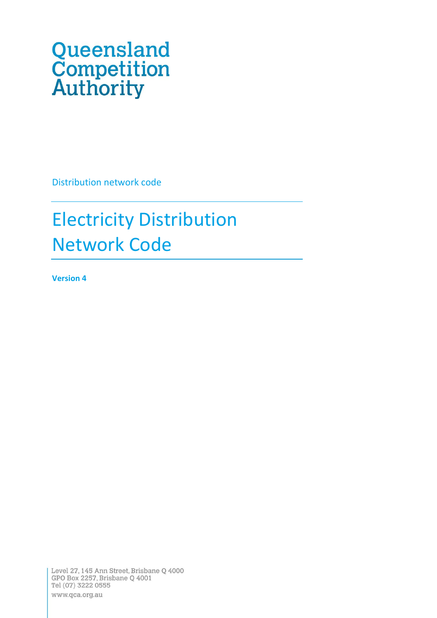# Queensland<br>Competition<br>Authority

Distribution network code

# Electricity Distribution Network Code

**Version 4**

Level 27, 145 Ann Street, Brisbane Q 4000 GPO Box 2257, Brisbane Q 4001 Tel (07) 3222 0555 www.qca.org.au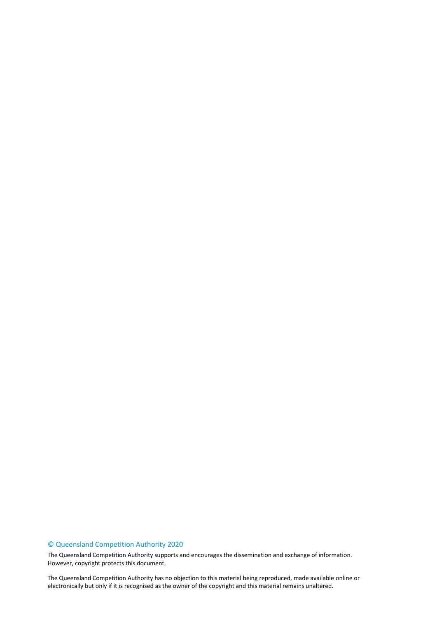#### © Queensland Competition Authority 2020

The Queensland Competition Authority supports and encourages the dissemination and exchange of information. However, copyright protects this document.

2 electronically but only if it is recognised as the owner of the copyright and this material remains unaltered.The Queensland Competition Authority has no objection to this material being reproduced, made available online or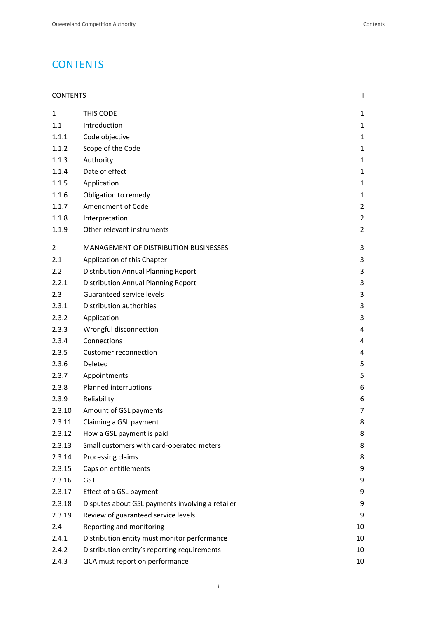# <span id="page-2-0"></span>**CONTENTS**

| <b>CONTENTS</b> |  |  |
|-----------------|--|--|
|                 |  |  |

| 1              | THIS CODE                                        | 1              |
|----------------|--------------------------------------------------|----------------|
| 1.1            | Introduction                                     | $\mathbf{1}$   |
| 1.1.1          | Code objective                                   | $\mathbf{1}$   |
| 1.1.2          | Scope of the Code                                | $\mathbf{1}$   |
| 1.1.3          | Authority                                        | $\mathbf{1}$   |
| 1.1.4          | Date of effect                                   | $\mathbf{1}$   |
| 1.1.5          | Application                                      | $\mathbf{1}$   |
| 1.1.6          | Obligation to remedy                             | $\mathbf{1}$   |
| 1.1.7          | Amendment of Code                                | $\overline{2}$ |
| 1.1.8          | Interpretation                                   | 2              |
| 1.1.9          | Other relevant instruments                       | 2              |
| $\overline{2}$ | MANAGEMENT OF DISTRIBUTION BUSINESSES            | 3              |
| 2.1            | Application of this Chapter                      | 3              |
| 2.2            | <b>Distribution Annual Planning Report</b>       | 3              |
| 2.2.1          | <b>Distribution Annual Planning Report</b>       | 3              |
| 2.3            | Guaranteed service levels                        | 3              |
| 2.3.1          | Distribution authorities                         | 3              |
| 2.3.2          | Application                                      | 3              |
| 2.3.3          | Wrongful disconnection                           | 4              |
| 2.3.4          | Connections                                      | 4              |
| 2.3.5          | Customer reconnection                            | 4              |
| 2.3.6          | Deleted                                          | 5              |
| 2.3.7          | Appointments                                     | 5              |
| 2.3.8          | Planned interruptions                            | 6              |
| 2.3.9          | Reliability                                      | 6              |
| 2.3.10         | Amount of GSL payments                           | 7              |
| 2.3.11         | Claiming a GSL payment                           | 8              |
| 2.3.12         | How a GSL payment is paid                        | 8              |
| 2.3.13         | Small customers with card-operated meters        | 8              |
| 2.3.14         | Processing claims                                | 8              |
| 2.3.15         | Caps on entitlements                             | 9              |
| 2.3.16         | <b>GST</b>                                       | 9              |
| 2.3.17         | Effect of a GSL payment                          | 9              |
| 2.3.18         | Disputes about GSL payments involving a retailer | 9              |
| 2.3.19         | Review of guaranteed service levels              | 9              |
| 2.4            | Reporting and monitoring                         | 10             |
| 2.4.1          | Distribution entity must monitor performance     | 10             |
| 2.4.2          | Distribution entity's reporting requirements     | 10             |
| 2.4.3          | QCA must report on performance                   | 10             |
|                |                                                  |                |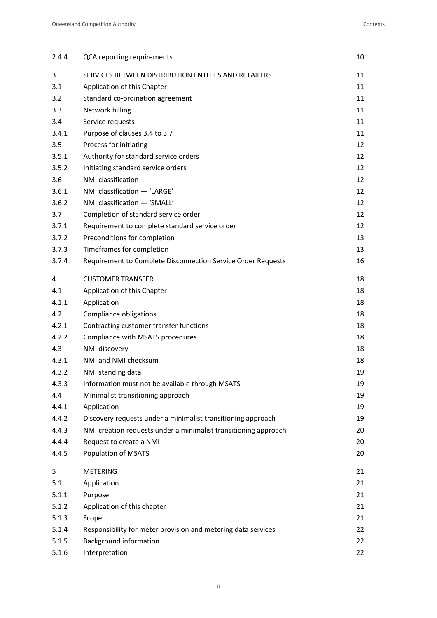| 2.4.4 | QCA reporting requirements                                      | 10 |
|-------|-----------------------------------------------------------------|----|
| 3     | SERVICES BETWEEN DISTRIBUTION ENTITIES AND RETAILERS            | 11 |
| 3.1   | Application of this Chapter                                     | 11 |
| 3.2   | Standard co-ordination agreement                                | 11 |
| 3.3   | Network billing                                                 | 11 |
| 3.4   | Service requests                                                | 11 |
| 3.4.1 | Purpose of clauses 3.4 to 3.7                                   | 11 |
| 3.5   | Process for initiating                                          | 12 |
| 3.5.1 | Authority for standard service orders                           | 12 |
| 3.5.2 | Initiating standard service orders                              | 12 |
| 3.6   | NMI classification                                              | 12 |
| 3.6.1 | NMI classification - 'LARGE'                                    | 12 |
| 3.6.2 | NMI classification - 'SMALL'                                    | 12 |
| 3.7   | Completion of standard service order                            | 12 |
| 3.7.1 | Requirement to complete standard service order                  | 12 |
| 3.7.2 | Preconditions for completion                                    | 13 |
| 3.7.3 | Timeframes for completion                                       | 13 |
| 3.7.4 | Requirement to Complete Disconnection Service Order Requests    | 16 |
| 4     | <b>CUSTOMER TRANSFER</b>                                        | 18 |
| 4.1   | Application of this Chapter                                     | 18 |
| 4.1.1 | Application                                                     | 18 |
| 4.2   | Compliance obligations                                          | 18 |
| 4.2.1 | Contracting customer transfer functions                         | 18 |
| 4.2.2 | Compliance with MSATS procedures                                | 18 |
| 4.3   | NMI discovery                                                   | 18 |
| 4.3.1 | NMI and NMI checksum                                            | 18 |
| 4.3.2 | NMI standing data                                               | 19 |
| 4.3.3 | Information must not be available through MSATS                 | 19 |
| 4.4   | Minimalist transitioning approach                               | 19 |
| 4.4.1 | Application                                                     | 19 |
| 4.4.2 | Discovery requests under a minimalist transitioning approach    | 19 |
| 4.4.3 | NMI creation requests under a minimalist transitioning approach | 20 |
| 4.4.4 | Request to create a NMI                                         | 20 |
| 4.4.5 | Population of MSATS                                             | 20 |
| 5     | <b>METERING</b>                                                 | 21 |
| 5.1   | Application                                                     | 21 |
| 5.1.1 | Purpose                                                         | 21 |
| 5.1.2 | Application of this chapter                                     | 21 |
| 5.1.3 | Scope                                                           | 21 |
| 5.1.4 | Responsibility for meter provision and metering data services   | 22 |
| 5.1.5 | <b>Background information</b>                                   | 22 |
| 5.1.6 | Interpretation                                                  | 22 |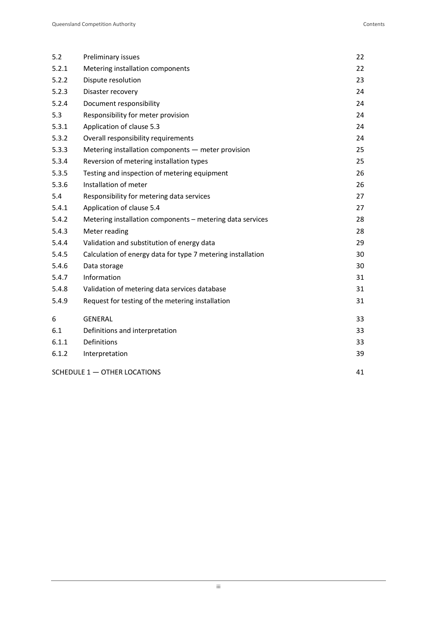| 5.2   | Preliminary issues                                          | 22 |
|-------|-------------------------------------------------------------|----|
| 5.2.1 | Metering installation components                            | 22 |
| 5.2.2 | Dispute resolution                                          | 23 |
| 5.2.3 | Disaster recovery                                           | 24 |
| 5.2.4 | Document responsibility                                     | 24 |
| 5.3   | Responsibility for meter provision                          | 24 |
| 5.3.1 | Application of clause 5.3                                   | 24 |
| 5.3.2 | Overall responsibility requirements                         | 24 |
| 5.3.3 | Metering installation components - meter provision          | 25 |
| 5.3.4 | Reversion of metering installation types                    | 25 |
| 5.3.5 | Testing and inspection of metering equipment                | 26 |
| 5.3.6 | Installation of meter                                       | 26 |
| 5.4   | Responsibility for metering data services                   | 27 |
| 5.4.1 | Application of clause 5.4                                   | 27 |
| 5.4.2 | Metering installation components - metering data services   | 28 |
| 5.4.3 | Meter reading                                               | 28 |
| 5.4.4 | Validation and substitution of energy data                  | 29 |
| 5.4.5 | Calculation of energy data for type 7 metering installation | 30 |
| 5.4.6 | Data storage                                                | 30 |
| 5.4.7 | Information                                                 | 31 |
| 5.4.8 | Validation of metering data services database               | 31 |
| 5.4.9 | Request for testing of the metering installation            | 31 |
| 6     | <b>GENERAL</b>                                              | 33 |
| 6.1   | Definitions and interpretation                              | 33 |
| 6.1.1 | Definitions                                                 | 33 |
| 6.1.2 | Interpretation                                              | 39 |
|       | SCHEDULE 1 - OTHER LOCATIONS                                | 41 |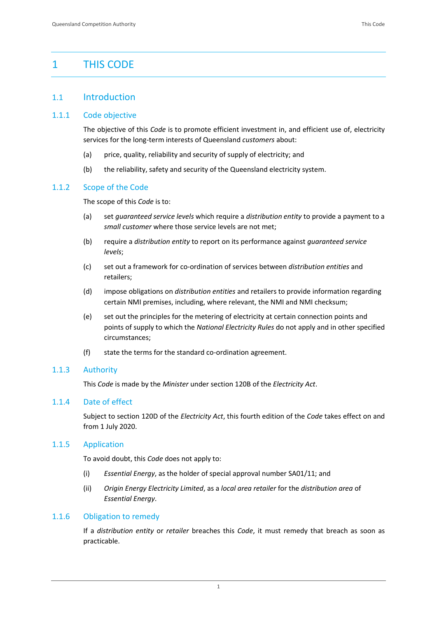# <span id="page-5-0"></span>1 THIS CODE

#### <span id="page-5-1"></span>1.1 Introduction

#### <span id="page-5-2"></span>1.1.1 Code objective

The objective of this *Code* is to promote efficient investment in, and efficient use of, electricity services for the long-term interests of Queensland *customers* about:

- (a) price, quality, reliability and security of supply of electricity; and
- (b) the reliability, safety and security of the Queensland electricity system.

#### <span id="page-5-3"></span>1.1.2 Scope of the Code

The scope of this *Code* is to:

- (a) set *guaranteed service levels* which require a *distribution entity* to provide a payment to a *small customer* where those service levels are not met;
- (b) require a *distribution entity* to report on its performance against *guaranteed service levels*;
- (c) set out a framework for co-ordination of services between *distribution entities* and retailers;
- (d) impose obligations on *distribution entities* and retailers to provide information regarding certain NMI premises, including, where relevant, the NMI and NMI checksum;
- (e) set out the principles for the metering of electricity at certain connection points and points of supply to which the *National Electricity Rules* do not apply and in other specified circumstances;
- (f) state the terms for the standard co-ordination agreement.

#### <span id="page-5-4"></span>1.1.3 Authority

This *Code* is made by the *Minister* under section 120B of the *Electricity Act*.

#### <span id="page-5-5"></span>1.1.4 Date of effect

Subject to section 120D of the *Electricity Act*, this fourth edition of the *Code* takes effect on and from 1 July 2020.

#### <span id="page-5-6"></span>1.1.5 Application

To avoid doubt, this *Code* does not apply to:

- (i) *Essential Energy*, as the holder of special approval number SA01/11; and
- (ii) *Origin Energy Electricity Limited*, as a *local area retailer* for the *distribution area* of *Essential Energy*.

#### <span id="page-5-7"></span>1.1.6 Obligation to remedy

If a *distribution entity* or *retailer* breaches this *Code*, it must remedy that breach as soon as practicable.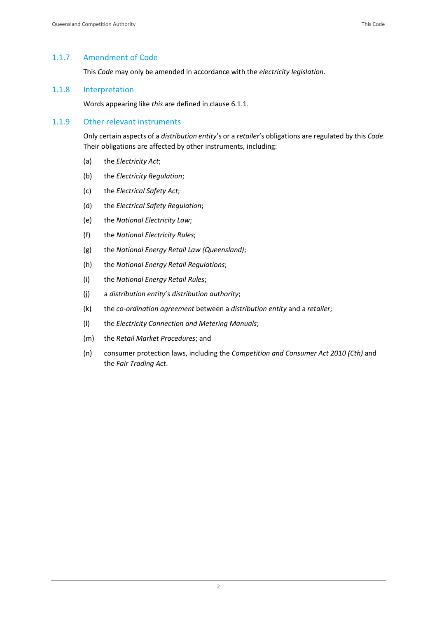#### <span id="page-6-0"></span>1.1.7 Amendment of Code

This *Code* may only be amended in accordance with the *electricity legislation*.

#### <span id="page-6-1"></span>1.1.8 Interpretation

Words appearing like *this* are defined in clause 6.1.1.

#### <span id="page-6-2"></span>1.1.9 Other relevant instruments

Only certain aspects of a *distribution entity*'s or a *retailer*'s obligations are regulated by this *Code*. Their obligations are affected by other instruments, including:

- (a) the *Electricity Act*;
- (b) the *Electricity Regulation*;
- (c) the *Electrical Safety Act*;
- (d) the *Electrical Safety Regulation*;
- (e) the *National Electricity Law*;
- (f) the *National Electricity Rules*;
- (g) the *National Energy Retail Law (Queensland)*;
- (h) the *National Energy Retail Regulations*;
- (i) the *National Energy Retail Rules*;
- (j) a *distribution entity*'s *distribution authority*;
- (k) the *co-ordination agreement* between a *distribution entity* and a *retailer*;
- (l) the *Electricity Connection and Metering Manuals*;
- (m) the *Retail Market Procedures*; and
- (n) consumer protection laws, including the *Competition and Consumer Act 2010 (Cth)* and the *Fair Trading Act*.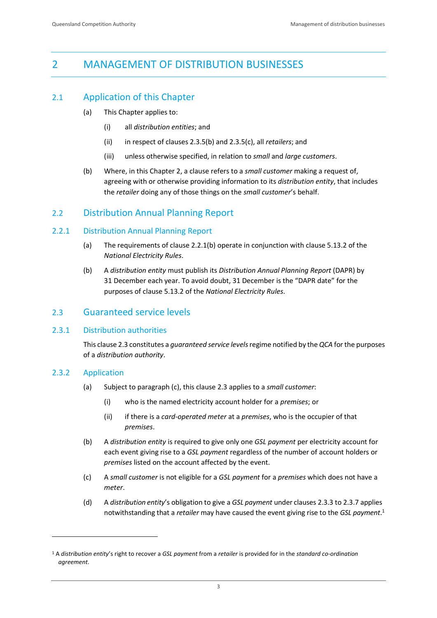# <span id="page-7-0"></span>2 MANAGEMENT OF DISTRIBUTION BUSINESSES

# <span id="page-7-1"></span>2.1 Application of this Chapter

- (a) This Chapter applies to:
	- (i) all *distribution entities*; and
	- (ii) in respect of clauses 2.3.5(b) and 2.3.5(c), all *retailers*; and
	- (iii) unless otherwise specified, in relation to *small* and *large customers*.
- (b) Where, in this Chapter 2, a clause refers to a *small customer* making a request of, agreeing with or otherwise providing information to its *distribution entity*, that includes the *retailer* doing any of those things on the *small customer*'s behalf.

#### <span id="page-7-2"></span>2.2 Distribution Annual Planning Report

#### <span id="page-7-3"></span>2.2.1 Distribution Annual Planning Report

- (a) The requirements of clause 2.2.1(b) operate in conjunction with clause 5.13.2 of the *National Electricity Rules*.
- (b) A *distribution entity* must publish its *Distribution Annual Planning Report* (DAPR) by 31 December each year. To avoid doubt, 31 December is the "DAPR date" for the purposes of clause 5.13.2 of the *National Electricity Rules*.

#### <span id="page-7-4"></span>2.3 Guaranteed service levels

#### <span id="page-7-5"></span>2.3.1 Distribution authorities

This clause 2.3 constitutes a *guaranteed service levels*regime notified by the *QCA* for the purposes of a *distribution authority*.

#### <span id="page-7-6"></span>2.3.2 Application

- (a) Subject to paragraph (c), this clause 2.3 applies to a *small customer*:
	- (i) who is the named electricity account holder for a *premises*; or
	- (ii) if there is a *card-operated meter* at a *premises*, who is the occupier of that *premises*.
- (b) A *distribution entity* is required to give only one *GSL payment* per electricity account for each event giving rise to a *GSL payment* regardless of the number of account holders or *premises* listed on the account affected by the event.
- (c) A *small customer* is not eligible for a *GSL payment* for a *premises* which does not have a *meter*.
- (d) A *distribution entity*'s obligation to give a *GSL payment* under clauses 2.3.3 to 2.3.7 applies notwithstanding that a *retailer* may have caused the event giving rise to the *GSL payment*. 1

<sup>1</sup> A *distribution entity*'s right to recover a *GSL payment* from a *retailer* is provided for in the *standard co-ordination agreement*.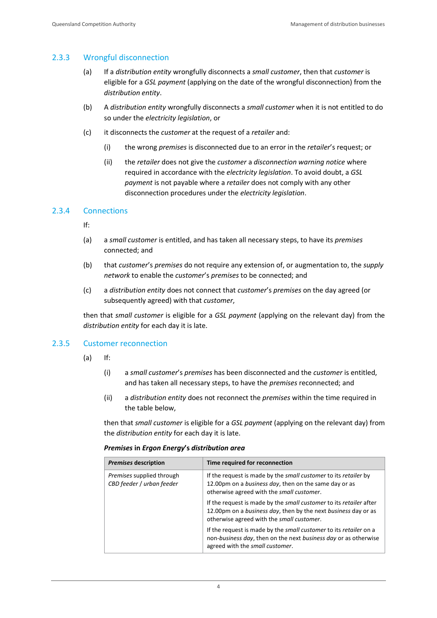#### <span id="page-8-0"></span>2.3.3 Wrongful disconnection

- (a) If a *distribution entity* wrongfully disconnects a *small customer*, then that *customer* is eligible for a *GSL payment* (applying on the date of the wrongful disconnection) from the *distribution entity*.
- (b) A *distribution entity* wrongfully disconnects a *small customer* when it is not entitled to do so under the *electricity legislation*, or
- (c) it disconnects the *customer* at the request of a *retailer* and:
	- (i) the wrong *premises* is disconnected due to an error in the *retailer*'s request; or
	- (ii) the *retailer* does not give the *customer* a *disconnection warning notice* where required in accordance with the *electricity legislation*. To avoid doubt, a *GSL payment* is not payable where a *retailer* does not comply with any other disconnection procedures under the *electricity legislation*.

#### <span id="page-8-1"></span>2.3.4 Connections

If:

- (a) a *small customer* is entitled, and has taken all necessary steps, to have its *premises* connected; and
- (b) that *customer*'s *premises* do not require any extension of, or augmentation to, the *supply network* to enable the *customer*'s *premises* to be connected; and
- (c) a *distribution entity* does not connect that *customer*'s *premises* on the day agreed (or subsequently agreed) with that *customer*,

then that *small customer* is eligible for a *GSL payment* (applying on the relevant day) from the *distribution entity* for each day it is late.

#### <span id="page-8-2"></span>2.3.5 Customer reconnection

- (a) If:
	- (i) a *small customer*'s *premises* has been disconnected and the *customer* is entitled, and has taken all necessary steps, to have the *premises* reconnected; and
	- (ii) a *distribution entity* does not reconnect the *premises* within the time required in the table below,

then that *small customer* is eligible for a *GSL payment* (applying on the relevant day) from the *distribution entity* for each day it is late.

#### *Premises* **in** *Ergon Energy***'s** *distribution area*

| <b>Premises description</b>                            | Time required for reconnection                                                                                                                                                    |
|--------------------------------------------------------|-----------------------------------------------------------------------------------------------------------------------------------------------------------------------------------|
| Premises supplied through<br>CBD feeder / urban feeder | If the request is made by the small customer to its retailer by<br>12.00pm on a business day, then on the same day or as<br>otherwise agreed with the small customer.             |
|                                                        | If the request is made by the small customer to its retailer after<br>12.00pm on a business day, then by the next business day or as<br>otherwise agreed with the small customer. |
|                                                        | If the request is made by the small customer to its retailer on a<br>non-business day, then on the next business day or as otherwise<br>agreed with the small customer.           |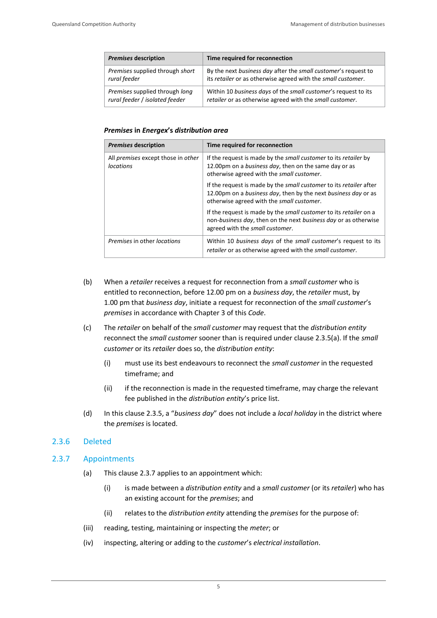| <b>Premises description</b>     | Time required for reconnection                                 |  |
|---------------------------------|----------------------------------------------------------------|--|
| Premises supplied through short | By the next business day after the small customer's request to |  |
| rural feeder                    | its retailer or as otherwise agreed with the small customer.   |  |
| Premises supplied through long  | Within 10 business days of the small customer's request to its |  |
| rural feeder / isolated feeder  | retailer or as otherwise agreed with the small customer.       |  |

#### *Premises* **in** *Energex***'s** *distribution area*

| <b>Premises description</b>                     | Time required for reconnection                                                                                                                                                    |
|-------------------------------------------------|-----------------------------------------------------------------------------------------------------------------------------------------------------------------------------------|
| All premises except those in other<br>locations | If the request is made by the small customer to its retailer by<br>12.00pm on a business day, then on the same day or as<br>otherwise agreed with the small customer.             |
|                                                 | If the request is made by the small customer to its retailer after<br>12.00pm on a business day, then by the next business day or as<br>otherwise agreed with the small customer. |
|                                                 | If the request is made by the small customer to its retailer on a<br>non-business day, then on the next business day or as otherwise<br>agreed with the small customer.           |
| <i>Premises</i> in other <i>locations</i>       | Within 10 business days of the small customer's request to its<br>retailer or as otherwise agreed with the small customer.                                                        |

- (b) When a *retailer* receives a request for reconnection from a *small customer* who is entitled to reconnection, before 12.00 pm on a *business day*, the *retailer* must, by 1.00 pm that *business day*, initiate a request for reconnection of the *small customer*'s *premises* in accordance with Chapter 3 of this *Code*.
- (c) The *retailer* on behalf of the *small customer* may request that the *distribution entity* reconnect the *small customer* sooner than is required under clause 2.3.5(a). If the *small customer* or its *retailer* does so, the *distribution entity*:
	- (i) must use its best endeavours to reconnect the *small customer* in the requested timeframe; and
	- (ii) if the reconnection is made in the requested timeframe, may charge the relevant fee published in the *distribution entity*'s price list.
- (d) In this clause 2.3.5, a "*business day*" does not include a *local holiday* in the district where the *premises* is located.

#### <span id="page-9-0"></span>2.3.6 Deleted

#### <span id="page-9-1"></span>2.3.7 Appointments

- (a) This clause 2.3.7 applies to an appointment which:
	- (i) is made between a *distribution entity* and a *small customer* (or its *retailer*) who has an existing account for the *premises*; and
	- (ii) relates to the *distribution entity* attending the *premises* for the purpose of:
- (iii) reading, testing, maintaining or inspecting the *meter*; or
- (iv) inspecting, altering or adding to the *customer*'s *electrical installation*.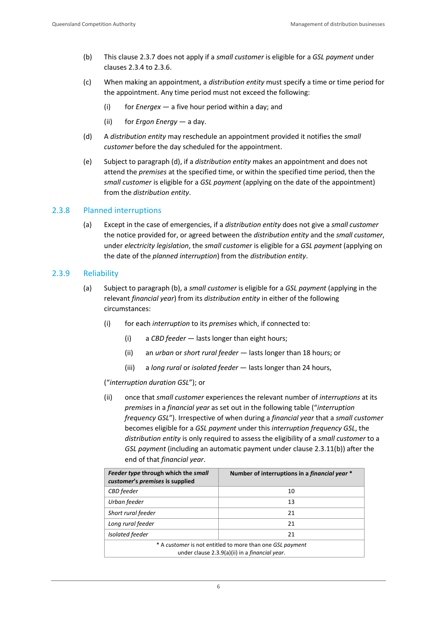- (b) This clause 2.3.7 does not apply if a *small customer* is eligible for a *GSL payment* under clauses 2.3.4 to 2.3.6.
- (c) When making an appointment, a *distribution entity* must specify a time or time period for the appointment. Any time period must not exceed the following:
	- (i) for *Energex* a five hour period within a day; and
	- (ii) for *Ergon Energy* a day.
- (d) A *distribution entity* may reschedule an appointment provided it notifies the *small customer* before the day scheduled for the appointment.
- (e) Subject to paragraph (d), if a *distribution entity* makes an appointment and does not attend the *premises* at the specified time, or within the specified time period, then the *small customer* is eligible for a *GSL payment* (applying on the date of the appointment) from the *distribution entity*.

#### <span id="page-10-0"></span>2.3.8 Planned interruptions

(a) Except in the case of emergencies, if a *distribution entity* does not give a *small customer* the notice provided for, or agreed between the *distribution entity* and the *small customer*, under *electricity legislation*, the *small customer* is eligible for a *GSL payment* (applying on the date of the *planned interruption*) from the *distribution entity*.

#### <span id="page-10-1"></span>2.3.9 Reliability

- (a) Subject to paragraph (b), a *small customer* is eligible for a *GSL payment* (applying in the relevant *financial year*) from its *distribution entity* in either of the following circumstances:
	- (i) for each *interruption* to its *premises* which, if connected to:
		- (i) a *CBD feeder* lasts longer than eight hours;
		- (ii) an *urban* or *short rural feeder* lasts longer than 18 hours; or
		- (iii) a *long rural* or *isolated feeder* lasts longer than 24 hours,

#### ("*interruption duration GSL*"); or

(ii) once that *small customer* experiences the relevant number of *interruptions* at its *premises* in a *financial year* as set out in the following table ("*interruption frequency GSL*"). Irrespective of when during a *financial year* that a *small customer* becomes eligible for a *GSL payment* under this *interruption frequency GSL*, the *distribution entity* is only required to assess the eligibility of a *small customer* to a *GSL payment* (including an automatic payment under clause 2.3.11(b)) after the end of that *financial year*.

| Feeder type through which the small<br>customer's premises is supplied                                              | Number of interruptions in a financial year * |  |
|---------------------------------------------------------------------------------------------------------------------|-----------------------------------------------|--|
| CBD feeder                                                                                                          | 10                                            |  |
| Urban feeder                                                                                                        | 13                                            |  |
| Short rural feeder                                                                                                  | 21                                            |  |
| Long rural feeder                                                                                                   | 21                                            |  |
| <b>Isolated feeder</b>                                                                                              | 21                                            |  |
| * A customer is not entitled to more than one GSL payment<br>under clause 2.3.9(a)(ii) in a <i>financial year</i> . |                                               |  |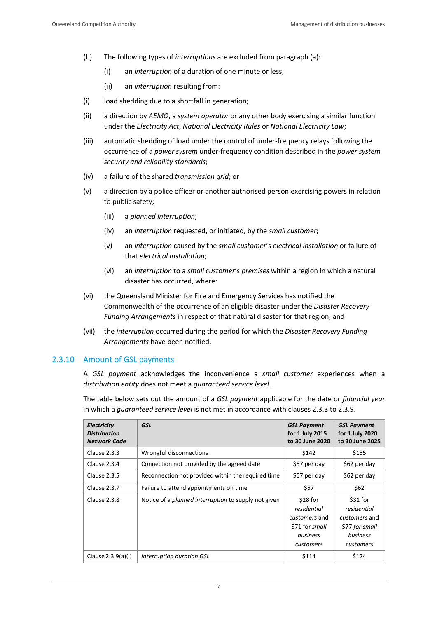- (b) The following types of *interruptions* are excluded from paragraph (a):
	- (i) an *interruption* of a duration of one minute or less;
	- (ii) an *interruption* resulting from:
- (i) load shedding due to a shortfall in generation:
- (ii) a direction by *AEMO*, a *system operator* or any other body exercising a similar function under the *Electricity Act*, *National Electricity Rules* or *National Electricity Law*;
- (iii) automatic shedding of load under the control of under-frequency relays following the occurrence of a *power system* under-frequency condition described in the *power system security and reliability standards*;
- (iv) a failure of the shared *transmission grid*; or
- (v) a direction by a police officer or another authorised person exercising powers in relation to public safety;
	- (iii) a *planned interruption*;
	- (iv) an *interruption* requested, or initiated, by the *small customer*;
	- (v) an *interruption* caused by the *small customer*'s *electrical installation* or failure of that *electrical installation*;
	- (vi) an *interruption* to a *small customer*'s *premises* within a region in which a natural disaster has occurred, where:
- (vi) the Queensland Minister for Fire and Emergency Services has notified the Commonwealth of the occurrence of an eligible disaster under the *Disaster Recovery Funding Arrangements* in respect of that natural disaster for that region; and
- (vii) the *interruption* occurred during the period for which the *Disaster Recovery Funding Arrangements* have been notified.

#### <span id="page-11-0"></span>2.3.10 Amount of GSL payments

A *GSL payment* acknowledges the inconvenience a *small customer* experiences when a *distribution entity* does not meet a *guaranteed service level*.

The table below sets out the amount of a *GSL payment* applicable for the date or *financial year* in which a *guaranteed service level* is not met in accordance with clauses 2.3.3 to 2.3.9.

| Electricity<br><b>Distribution</b><br><b>Network Code</b> | <b>GSL</b>                                                  | <b>GSL Payment</b><br>for 1 July 2015<br>to 30 June 2020                            | <b>GSL Payment</b><br>for 1 July 2020<br>to 30 June 2025                             |
|-----------------------------------------------------------|-------------------------------------------------------------|-------------------------------------------------------------------------------------|--------------------------------------------------------------------------------------|
| Clause 2.3.3                                              | Wrongful disconnections                                     | \$142                                                                               | \$155                                                                                |
| Clause 2.3.4                                              | Connection not provided by the agreed date                  | \$57 per day                                                                        | \$62 per day                                                                         |
| <b>Clause 2.3.5</b>                                       | Reconnection not provided within the required time          | \$57 per day                                                                        | \$62 per day                                                                         |
| Clause 2.3.7                                              | Failure to attend appointments on time                      | \$57                                                                                | \$62                                                                                 |
| Clause 2.3.8                                              | Notice of a <i>planned interruption</i> to supply not given | \$28 for<br>residential<br>customers and<br>\$71 for small<br>business<br>customers | $$31$ for<br>residential<br>customers and<br>\$77 for small<br>business<br>customers |
| Clause 2.3.9(a)(i)                                        | Interruption duration GSL                                   | \$114                                                                               | \$124                                                                                |

7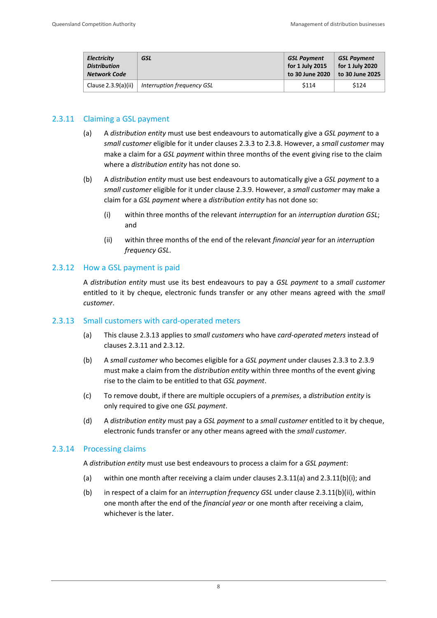| Electricity           | GSL                        | <b>GSL Payment</b> | <b>GSL Payment</b> |
|-----------------------|----------------------------|--------------------|--------------------|
| <b>Distribution</b>   |                            | for 1 July 2015    | for 1 July 2020    |
| <b>Network Code</b>   |                            | to 30 June 2020    | to 30 June 2025    |
| Clause $2.3.9(a)(ii)$ | Interruption frequency GSL | \$114              | \$124              |

#### <span id="page-12-0"></span>2.3.11 Claiming a GSL payment

- (a) A *distribution entity* must use best endeavours to automatically give a *GSL payment* to a *small customer* eligible for it under clauses 2.3.3 to 2.3.8. However, a *small customer* may make a claim for a *GSL payment* within three months of the event giving rise to the claim where a *distribution entity* has not done so.
- (b) A *distribution entity* must use best endeavours to automatically give a *GSL payment* to a *small customer* eligible for it under clause 2.3.9. However, a *small customer* may make a claim for a *GSL payment* where a *distribution entity* has not done so:
	- (i) within three months of the relevant *interruption* for an *interruption duration GSL*; and
	- (ii) within three months of the end of the relevant *financial year* for an *interruption frequency GSL*.

#### <span id="page-12-1"></span>2.3.12 How a GSL payment is paid

A *distribution entity* must use its best endeavours to pay a *GSL payment* to a *small customer*  entitled to it by cheque, electronic funds transfer or any other means agreed with the *small customer*.

#### <span id="page-12-2"></span>2.3.13 Small customers with card-operated meters

- (a) This clause 2.3.13 applies to *small customers* who have *card-operated meters* instead of clauses 2.3.11 and 2.3.12.
- (b) A *small customer* who becomes eligible for a *GSL payment* under clauses 2.3.3 to 2.3.9 must make a claim from the *distribution entity* within three months of the event giving rise to the claim to be entitled to that *GSL payment*.
- (c) To remove doubt, if there are multiple occupiers of a *premises*, a *distribution entity* is only required to give one *GSL payment*.
- (d) A *distribution entity* must pay a *GSL payment* to a *small customer* entitled to it by cheque, electronic funds transfer or any other means agreed with the *small customer*.

#### <span id="page-12-3"></span>2.3.14 Processing claims

A *distribution entity* must use best endeavours to process a claim for a *GSL payment*:

- (a) within one month after receiving a claim under clauses 2.3.11(a) and 2.3.11(b)(i); and
- (b) in respect of a claim for an *interruption frequency GSL* under clause 2.3.11(b)(ii), within one month after the end of the *financial year* or one month after receiving a claim, whichever is the later.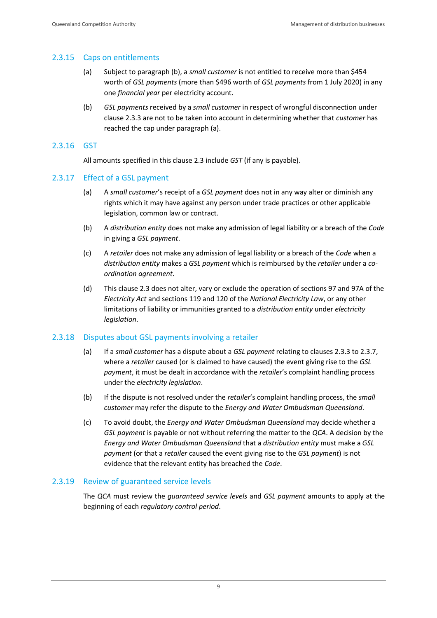#### <span id="page-13-0"></span>2.3.15 Caps on entitlements

- (a) Subject to paragraph (b), a *small customer* is not entitled to receive more than \$454 worth of *GSL payments* (more than \$496 worth of *GSL payments* from 1 July 2020) in any one *financial year* per electricity account.
- (b) *GSL payments* received by a *small customer* in respect of wrongful disconnection under clause 2.3.3 are not to be taken into account in determining whether that *customer* has reached the cap under paragraph (a).

#### <span id="page-13-1"></span>2.3.16 GST

All amounts specified in this clause 2.3 include *GST* (if any is payable).

#### <span id="page-13-2"></span>2.3.17 Effect of a GSL payment

- (a) A *small customer*'s receipt of a *GSL payment* does not in any way alter or diminish any rights which it may have against any person under trade practices or other applicable legislation, common law or contract.
- (b) A *distribution entity* does not make any admission of legal liability or a breach of the *Code* in giving a *GSL payment*.
- (c) A *retailer* does not make any admission of legal liability or a breach of the *Code* when a *distribution entity* makes a *GSL payment* which is reimbursed by the *retailer* under a *coordination agreement*.
- (d) This clause 2.3 does not alter, vary or exclude the operation of sections 97 and 97A of the *Electricity Act* and sections 119 and 120 of the *National Electricity Law*, or any other limitations of liability or immunities granted to a *distribution entity* under *electricity legislation*.

#### <span id="page-13-3"></span>2.3.18 Disputes about GSL payments involving a retailer

- (a) If a *small customer* has a dispute about a *GSL payment* relating to clauses 2.3.3 to 2.3.7, where a *retailer* caused (or is claimed to have caused) the event giving rise to the *GSL payment*, it must be dealt in accordance with the *retailer*'s complaint handling process under the *electricity legislation*.
- (b) If the dispute is not resolved under the *retailer*'s complaint handling process, the *small customer* may refer the dispute to the *Energy and Water Ombudsman Queensland*.
- (c) To avoid doubt, the *Energy and Water Ombudsman Queensland* may decide whether a *GSL payment* is payable or not without referring the matter to the *QCA*. A decision by the *Energy and Water Ombudsman Queensland* that a *distribution entity* must make a *GSL payment* (or that a *retailer* caused the event giving rise to the *GSL payment*) is not evidence that the relevant entity has breached the *Code*.

#### <span id="page-13-4"></span>2.3.19 Review of guaranteed service levels

The *QCA* must review the *guaranteed service levels* and *GSL payment* amounts to apply at the beginning of each *regulatory control period*.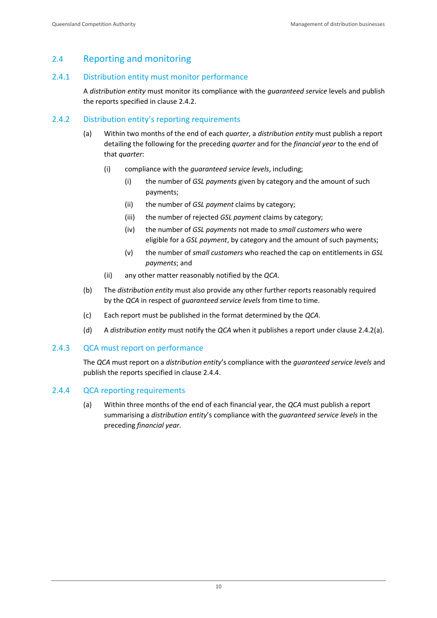# <span id="page-14-0"></span>2.4 Reporting and monitoring

#### <span id="page-14-1"></span>2.4.1 Distribution entity must monitor performance

A *distribution entity* must monitor its compliance with the *guaranteed service* levels and publish the reports specified in clause 2.4.2.

#### <span id="page-14-2"></span>2.4.2 Distribution entity's reporting requirements

- (a) Within two months of the end of each *quarter*, a *distribution entity* must publish a report detailing the following for the preceding *quarter* and for the *financial year* to the end of that *quarter*:
	- (i) compliance with the *guaranteed service levels*, including;
		- (i) the number of *GSL payments* given by category and the amount of such payments;
		- (ii) the number of *GSL payment* claims by category;
		- (iii) the number of rejected *GSL payment* claims by category;
		- (iv) the number of *GSL payments* not made to *small customers* who were eligible for a *GSL payment*, by category and the amount of such payments;
		- (v) the number of *small customers* who reached the cap on entitlements in *GSL payments*; and
	- (ii) any other matter reasonably notified by the *QCA*.
- (b) The *distribution entity* must also provide any other further reports reasonably required by the *QCA* in respect of *guaranteed service levels* from time to time.
- (c) Each report must be published in the format determined by the *QCA*.
- (d) A *distribution entity* must notify the *QCA* when it publishes a report under clause 2.4.2(a).

#### <span id="page-14-3"></span>2.4.3 QCA must report on performance

The *QCA* must report on a *distribution entity*'s compliance with the *guaranteed service levels* and publish the reports specified in clause 2.4.4.

#### <span id="page-14-4"></span>2.4.4 QCA reporting requirements

(a) Within three months of the end of each financial year, the *QCA* must publish a report summarising a *distribution entity*'s compliance with the *guaranteed service levels* in the preceding *financial year*.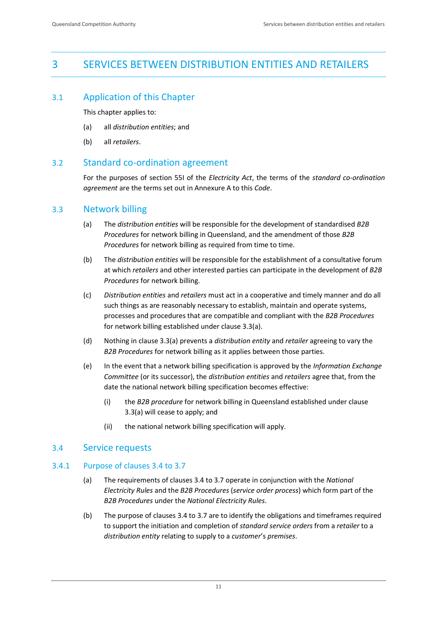# <span id="page-15-0"></span>3 SERVICES BETWEEN DISTRIBUTION ENTITIES AND RETAILERS

### <span id="page-15-1"></span>3.1 Application of this Chapter

This chapter applies to:

- (a) all *distribution entities*; and
- (b) all *retailers*.

#### <span id="page-15-2"></span>3.2 Standard co-ordination agreement

For the purposes of section 55I of the *Electricity Act*, the terms of the *standard co-ordination agreement* are the terms set out in Annexure A to this *Code*.

#### <span id="page-15-3"></span>3.3 Network billing

- (a) The *distribution entities* will be responsible for the development of standardised *B2B Procedures* for network billing in Queensland, and the amendment of those *B2B Procedures* for network billing as required from time to time.
- (b) The *distribution entities* will be responsible for the establishment of a consultative forum at which *retailers* and other interested parties can participate in the development of *B2B Procedures* for network billing.
- (c) *Distribution entities* and *retailers* must act in a cooperative and timely manner and do all such things as are reasonably necessary to establish, maintain and operate systems, processes and procedures that are compatible and compliant with the *B2B Procedures* for network billing established under clause 3.3(a).
- (d) Nothing in clause 3.3(a) prevents a *distribution entity* and *retailer* agreeing to vary the *B2B Procedures* for network billing as it applies between those parties.
- (e) In the event that a network billing specification is approved by the *Information Exchange Committee* (or its successor), the *distribution entities* and *retailers* agree that, from the date the national network billing specification becomes effective:
	- (i) the *B2B procedure* for network billing in Queensland established under clause 3.3(a) will cease to apply; and
	- (ii) the national network billing specification will apply.

#### <span id="page-15-4"></span>3.4 Service requests

#### <span id="page-15-5"></span>3.4.1 Purpose of clauses 3.4 to 3.7

- (a) The requirements of clauses 3.4 to 3.7 operate in conjunction with the *National Electricity Rules* and the *B2B Procedures* (*service order process*) which form part of the *B2B Procedures* under the *National Electricity Rules*.
- (b) The purpose of clauses 3.4 to 3.7 are to identify the obligations and timeframes required to support the initiation and completion of *standard service orders* from a *retailer* to a *distribution entity* relating to supply to a *customer*'s *premises*.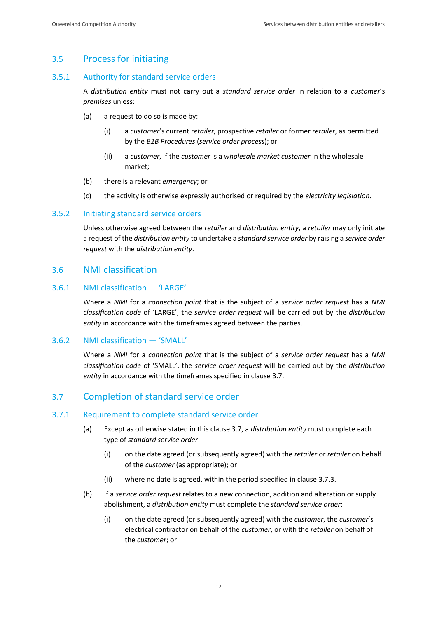# <span id="page-16-0"></span>3.5 Process for initiating

#### <span id="page-16-1"></span>3.5.1 Authority for standard service orders

A *distribution entity* must not carry out a *standard service order* in relation to a *customer*'s *premises* unless:

- (a) a request to do so is made by:
	- (i) a *customer*'s current *retailer*, prospective *retailer* or former *retailer*, as permitted by the *B2B Procedures* (*service order process*); or
	- (ii) a *customer*, if the *customer* is a *wholesale market customer* in the wholesale market;
- (b) there is a relevant *emergency*; or
- (c) the activity is otherwise expressly authorised or required by the *electricity legislation*.

#### <span id="page-16-2"></span>3.5.2 Initiating standard service orders

Unless otherwise agreed between the *retailer* and *distribution entity*, a *retailer* may only initiate a request of the *distribution entity* to undertake a *standard service order* by raising a *service order request* with the *distribution entity*.

#### <span id="page-16-3"></span>3.6 NMI classification

#### <span id="page-16-4"></span>3.6.1 NMI classification — 'LARGE'

Where a *NMI* for a *connection point* that is the subject of a *service order request* has a *NMI classification code* of 'LARGE', the *service order request* will be carried out by the *distribution entity* in accordance with the timeframes agreed between the parties.

#### <span id="page-16-5"></span>3.6.2 NMI classification — 'SMALL'

Where a *NMI* for a *connection point* that is the subject of a *service order request* has a *NMI classification code* of 'SMALL', the *service order request* will be carried out by the *distribution entity* in accordance with the timeframes specified in clause 3.7.

#### <span id="page-16-6"></span>3.7 Completion of standard service order

#### <span id="page-16-7"></span>3.7.1 Requirement to complete standard service order

- (a) Except as otherwise stated in this clause 3.7, a *distribution entity* must complete each type of *standard service order*:
	- (i) on the date agreed (or subsequently agreed) with the *retailer* or *retailer* on behalf of the *customer* (as appropriate); or
	- (ii) where no date is agreed, within the period specified in clause 3.7.3.
- (b) If a *service order request* relates to a new connection, addition and alteration or supply abolishment, a *distribution entity* must complete the *standard service order*:
	- (i) on the date agreed (or subsequently agreed) with the *customer*, the *customer*'s electrical contractor on behalf of the *customer*, or with the *retailer* on behalf of the *customer*; or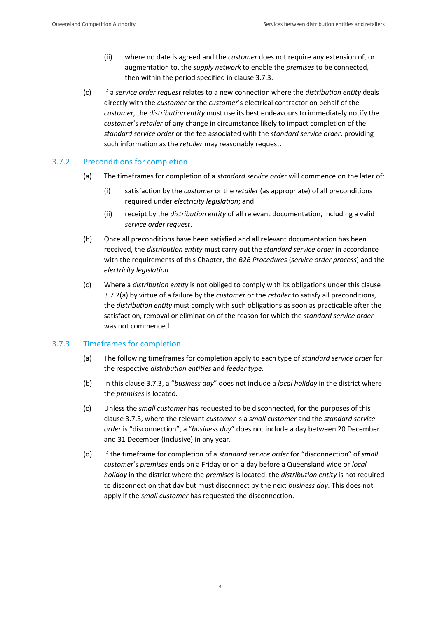- (ii) where no date is agreed and the *customer* does not require any extension of, or augmentation to, the *supply network* to enable the *premises* to be connected, then within the period specified in clause 3.7.3.
- (c) If a *service order request* relates to a new connection where the *distribution entity* deals directly with the *customer* or the *customer*'s electrical contractor on behalf of the *customer*, the *distribution entity* must use its best endeavours to immediately notify the *customer*'s *retailer* of any change in circumstance likely to impact completion of the *standard service order* or the fee associated with the *standard service order*, providing such information as the *retailer* may reasonably request.

#### <span id="page-17-0"></span>3.7.2 Preconditions for completion

- (a) The timeframes for completion of a *standard service order* will commence on the later of:
	- (i) satisfaction by the *customer* or the *retailer* (as appropriate) of all preconditions required under *electricity legislation*; and
	- (ii) receipt by the *distribution entity* of all relevant documentation, including a valid *service order request*.
- (b) Once all preconditions have been satisfied and all relevant documentation has been received, the *distribution entity* must carry out the *standard service order* in accordance with the requirements of this Chapter, the *B2B Procedures* (*service order process*) and the *electricity legislation*.
- (c) Where a *distribution entity* is not obliged to comply with its obligations under this clause 3.7.2(a) by virtue of a failure by the *customer* or the *retailer* to satisfy all preconditions, the *distribution entity* must comply with such obligations as soon as practicable after the satisfaction, removal or elimination of the reason for which the *standard service order* was not commenced.

#### <span id="page-17-1"></span>3.7.3 Timeframes for completion

- (a) The following timeframes for completion apply to each type of *standard service order* for the respective *distribution entities* and *feeder type*.
- (b) In this clause 3.7.3, a "*business day*" does not include a *local holiday* in the district where the *premises* is located.
- (c) Unless the *small customer* has requested to be disconnected, for the purposes of this clause 3.7.3, where the relevant *customer* is a *small customer* and the *standard service order* is "disconnection", a "*business day*" does not include a day between 20 December and 31 December (inclusive) in any year.
- (d) If the timeframe for completion of a *standard service order* for "disconnection" of *small customer*'s *premises* ends on a Friday or on a day before a Queensland wide or *local holiday* in the district where the *premises* is located, the *distribution entity* is not required to disconnect on that day but must disconnect by the next *business day*. This does not apply if the *small customer* has requested the disconnection.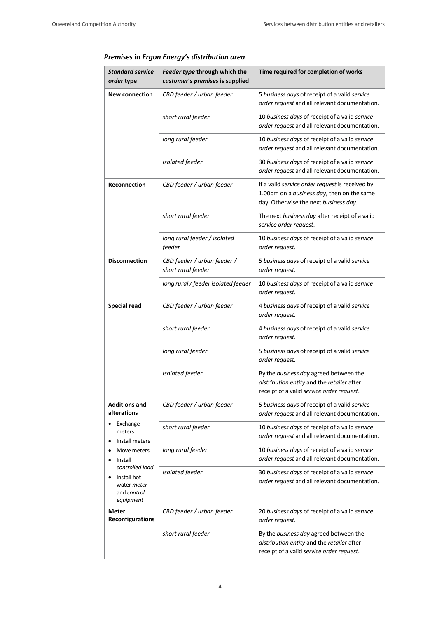| Premises in Ergon Energy's distribution area |  |  |  |  |  |  |
|----------------------------------------------|--|--|--|--|--|--|
|----------------------------------------------|--|--|--|--|--|--|

| <b>Standard service</b><br>order type                                     | Feeder type through which the<br>customer's premises is supplied | Time required for completion of works                                                                                                  |
|---------------------------------------------------------------------------|------------------------------------------------------------------|----------------------------------------------------------------------------------------------------------------------------------------|
| <b>New connection</b>                                                     | CBD feeder / urban feeder                                        | 5 business days of receipt of a valid service<br>order request and all relevant documentation.                                         |
|                                                                           | short rural feeder                                               | 10 business days of receipt of a valid service<br>order request and all relevant documentation.                                        |
|                                                                           | long rural feeder                                                | 10 business days of receipt of a valid service<br>order request and all relevant documentation.                                        |
|                                                                           | isolated feeder                                                  | 30 business days of receipt of a valid service<br>order request and all relevant documentation.                                        |
| Reconnection                                                              | CBD feeder / urban feeder                                        | If a valid service order request is received by<br>1.00pm on a business day, then on the same<br>day. Otherwise the next business day. |
|                                                                           | short rural feeder                                               | The next business day after receipt of a valid<br>service order request.                                                               |
|                                                                           | long rural feeder / isolated<br>feeder                           | 10 business days of receipt of a valid service<br>order request.                                                                       |
| <b>Disconnection</b>                                                      | CBD feeder / urban feeder /<br>short rural feeder                | 5 business days of receipt of a valid service<br>order request.                                                                        |
|                                                                           | long rural / feeder isolated feeder                              | 10 business days of receipt of a valid service<br>order request.                                                                       |
| <b>Special read</b>                                                       | CBD feeder / urban feeder                                        | 4 business days of receipt of a valid service<br>order request.                                                                        |
|                                                                           | short rural feeder                                               | 4 business days of receipt of a valid service<br>order request.                                                                        |
|                                                                           | long rural feeder                                                | 5 business days of receipt of a valid service<br>order request.                                                                        |
|                                                                           | isolated feeder                                                  | By the business day agreed between the<br>distribution entity and the retailer after<br>receipt of a valid service order request.      |
| <b>Additions and</b><br>alterations                                       | CBD feeder / urban feeder                                        | 5 business days of receipt of a valid service<br>order request and all relevant documentation.                                         |
| Exchange<br>meters<br>Install meters                                      | short rural feeder                                               | 10 business days of receipt of a valid service<br>order request and all relevant documentation.                                        |
| Move meters<br>Install                                                    | long rural feeder                                                | 10 business days of receipt of a valid service<br>order request and all relevant documentation.                                        |
| controlled load<br>Install hot<br>water meter<br>and control<br>equipment | isolated feeder                                                  | 30 business days of receipt of a valid service<br>order request and all relevant documentation.                                        |
| Meter<br>Reconfigurations                                                 | CBD feeder / urban feeder                                        | 20 business days of receipt of a valid service<br>order request.                                                                       |
|                                                                           | short rural feeder                                               | By the business day agreed between the<br>distribution entity and the retailer after<br>receipt of a valid service order request.      |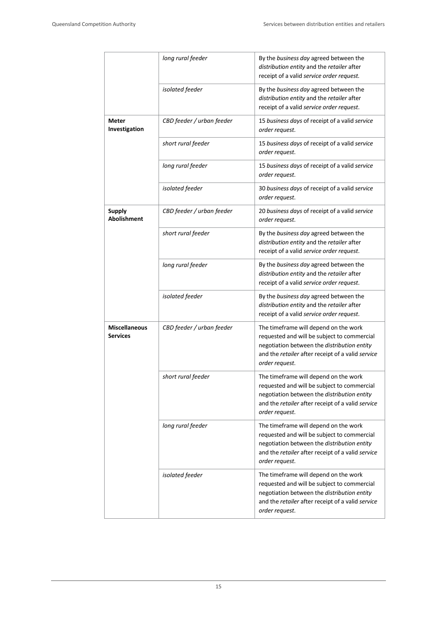|                                         | long rural feeder         | By the business day agreed between the<br>distribution entity and the retailer after<br>receipt of a valid service order request.                                                                          |  |
|-----------------------------------------|---------------------------|------------------------------------------------------------------------------------------------------------------------------------------------------------------------------------------------------------|--|
|                                         | isolated feeder           | By the business day agreed between the<br>distribution entity and the retailer after<br>receipt of a valid service order request.                                                                          |  |
| Meter<br>Investigation                  | CBD feeder / urban feeder | 15 business days of receipt of a valid service<br>order request.                                                                                                                                           |  |
|                                         | short rural feeder        | 15 business days of receipt of a valid service<br>order request.                                                                                                                                           |  |
|                                         | long rural feeder         | 15 business days of receipt of a valid service<br>order request.                                                                                                                                           |  |
|                                         | isolated feeder           | 30 business days of receipt of a valid service<br>order request.                                                                                                                                           |  |
| <b>Supply</b><br><b>Abolishment</b>     | CBD feeder / urban feeder | 20 business days of receipt of a valid service<br>order request.                                                                                                                                           |  |
|                                         | short rural feeder        | By the business day agreed between the<br>distribution entity and the retailer after<br>receipt of a valid service order request.                                                                          |  |
|                                         | long rural feeder         | By the business day agreed between the<br>distribution entity and the retailer after<br>receipt of a valid service order request.                                                                          |  |
|                                         | isolated feeder           | By the business day agreed between the<br>distribution entity and the retailer after<br>receipt of a valid service order request.                                                                          |  |
| <b>Miscellaneous</b><br><b>Services</b> | CBD feeder / urban feeder | The timeframe will depend on the work<br>requested and will be subject to commercial<br>negotiation between the distribution entity<br>and the retailer after receipt of a valid service<br>order request. |  |
|                                         | short rural feeder        | The timeframe will depend on the work<br>requested and will be subject to commercial<br>negotiation between the distribution entity<br>and the retailer after receipt of a valid service<br>order request. |  |
|                                         | long rural feeder         | The timeframe will depend on the work<br>requested and will be subject to commercial<br>negotiation between the distribution entity<br>and the retailer after receipt of a valid service<br>order request. |  |
|                                         | isolated feeder           | The timeframe will depend on the work<br>requested and will be subject to commercial<br>negotiation between the distribution entity<br>and the retailer after receipt of a valid service<br>order request. |  |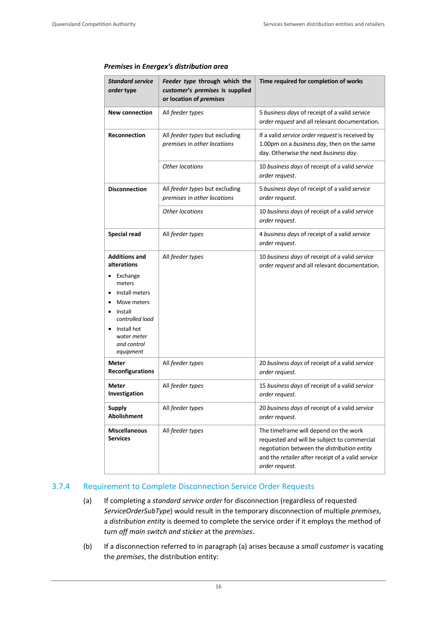| <b>Standard service</b><br>order type                                                            | Feeder type through which the<br>customer's premises is supplied<br>or location of premises | Time required for completion of works                                                                                                                                                                      |
|--------------------------------------------------------------------------------------------------|---------------------------------------------------------------------------------------------|------------------------------------------------------------------------------------------------------------------------------------------------------------------------------------------------------------|
| <b>New connection</b>                                                                            | All feeder types                                                                            | 5 business days of receipt of a valid service<br>order request and all relevant documentation.                                                                                                             |
| <b>Reconnection</b>                                                                              | All feeder types but excluding<br>premises in other locations                               | If a valid service order request is received by<br>1.00pm on a business day, then on the same<br>day. Otherwise the next business day.                                                                     |
|                                                                                                  | <b>Other locations</b>                                                                      | 10 business days of receipt of a valid service<br>order request.                                                                                                                                           |
| <b>Disconnection</b>                                                                             | All feeder types but excluding<br>premises in other locations                               | 5 business days of receipt of a valid service<br>order request.                                                                                                                                            |
|                                                                                                  | <b>Other locations</b>                                                                      | 10 business days of receipt of a valid service<br>order request.                                                                                                                                           |
| <b>Special read</b>                                                                              | All feeder types                                                                            | 4 business days of receipt of a valid service<br>order request.                                                                                                                                            |
| <b>Additions and</b><br>alterations                                                              | All feeder types                                                                            | 10 business days of receipt of a valid service<br>order request and all relevant documentation.                                                                                                            |
| Exchange<br>meters<br>Install meters<br>Move meters<br>Install<br>controlled load<br>Install hot |                                                                                             |                                                                                                                                                                                                            |
| water meter<br>and control<br>equipment                                                          |                                                                                             |                                                                                                                                                                                                            |
| Meter<br><b>Reconfigurations</b>                                                                 | All feeder types                                                                            | 20 business days of receipt of a valid service<br>order request.                                                                                                                                           |
| <b>Meter</b><br>Investigation                                                                    | All feeder types                                                                            | 15 business days of receipt of a valid service<br>order request.                                                                                                                                           |
| <b>Supply</b><br><b>Abolishment</b>                                                              | All feeder types                                                                            | 20 business days of receipt of a valid service<br>order request.                                                                                                                                           |
| <b>Miscellaneous</b><br><b>Services</b>                                                          | All feeder types                                                                            | The timeframe will depend on the work<br>requested and will be subject to commercial<br>negotiation between the distribution entity<br>and the retailer after receipt of a valid service<br>order request. |

#### *Premises* **in** *Energex's distribution area*

#### <span id="page-20-0"></span>3.7.4 Requirement to Complete Disconnection Service Order Requests

- (a) If completing a *standard service order* for disconnection (regardless of requested *ServiceOrderSubType*) would result in the temporary disconnection of multiple *premises*, a *distribution entity* is deemed to complete the service order if it employs the method of *turn off main switch and sticker* at the *premises*.
- (b) If a disconnection referred to in paragraph (a) arises because a *small customer* is vacating the *premises*, the distribution entity: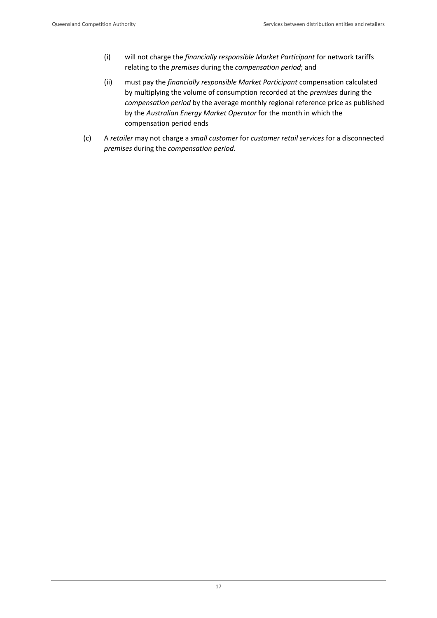- (i) will not charge the *financially responsible Market Participant* for network tariffs relating to the *premises* during the *compensation period*; and
- (ii) must pay the *financially responsible Market Participant* compensation calculated by multiplying the volume of consumption recorded at the *premises* during the *compensation period* by the average monthly regional reference price as published by the *Australian Energy Market Operator* for the month in which the compensation period ends
- (c) A *retailer* may not charge a *small customer* for *customer retail services* for a disconnected *premises* during the *compensation period*.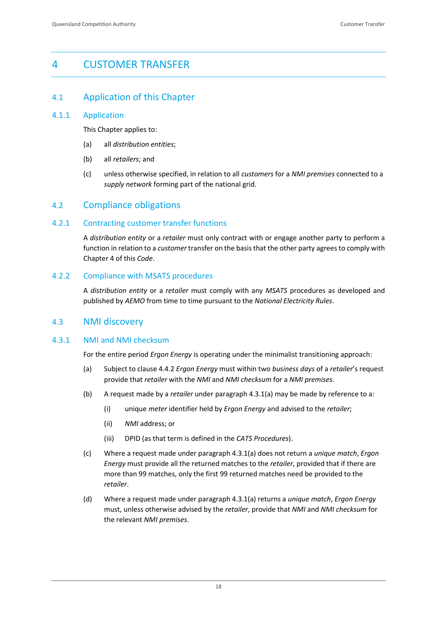# <span id="page-22-0"></span>4 CUSTOMER TRANSFER

#### <span id="page-22-1"></span>4.1 Application of this Chapter

#### <span id="page-22-2"></span>4.1.1 Application

This Chapter applies to:

- (a) all *distribution entities*;
- (b) all *retailers*; and
- (c) unless otherwise specified, in relation to all *customers* for a *NMI premises* connected to a *supply network* forming part of the national grid.

#### <span id="page-22-3"></span>4.2 Compliance obligations

#### <span id="page-22-4"></span>4.2.1 Contracting customer transfer functions

A *distribution entity* or a *retailer* must only contract with or engage another party to perform a function in relation to a *customer* transfer on the basis that the other party agrees to comply with Chapter 4 of this *Code*.

#### <span id="page-22-5"></span>4.2.2 Compliance with MSATS procedures

A *distribution entity* or a *retailer* must comply with any *MSATS* procedures as developed and published by *AEMO* from time to time pursuant to the *National Electricity Rules*.

#### <span id="page-22-6"></span>4.3 NMI discovery

#### <span id="page-22-7"></span>4.3.1 NMI and NMI checksum

For the entire period *Ergon Energy* is operating under the minimalist transitioning approach:

- (a) Subject to clause 4.4.2 *Ergon Energy* must within two *business days* of a *retailer*'s request provide that *retailer* with the *NMI* and *NMI checksum* for a *NMI premises*.
- (b) A request made by a *retailer* under paragraph 4.3.1(a) may be made by reference to a:
	- (i) unique *meter* identifier held by *Ergon Energy* and advised to the *retailer*;
	- (ii) *NMI* address; or
	- (iii) DPID (as that term is defined in the *CATS Procedures*).
- (c) Where a request made under paragraph 4.3.1(a) does not return a *unique match*, *Ergon Energy* must provide all the returned matches to the *retailer*, provided that if there are more than 99 matches, only the first 99 returned matches need be provided to the *retailer*.
- (d) Where a request made under paragraph 4.3.1(a) returns a *unique match*, *Ergon Energy* must, unless otherwise advised by the *retailer*, provide that *NMI* and *NMI checksum* for the relevant *NMI premises*.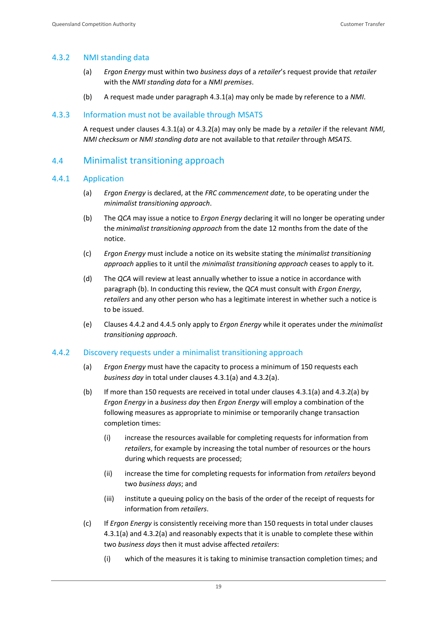#### <span id="page-23-0"></span>4.3.2 NMI standing data

- (a) *Ergon Energy* must within two *business days* of a *retailer*'s request provide that *retailer* with the *NMI standing data* for a *NMI premises*.
- (b) A request made under paragraph 4.3.1(a) may only be made by reference to a *NMI*.

#### <span id="page-23-1"></span>4.3.3 Information must not be available through MSATS

A request under clauses 4.3.1(a) or 4.3.2(a) may only be made by a *retailer* if the relevant *NMI*, *NMI checksum* or *NMI standing data* are not available to that *retailer* through *MSATS*.

#### <span id="page-23-2"></span>4.4 Minimalist transitioning approach

#### <span id="page-23-3"></span>4.4.1 Application

- (a) *Ergon Energy* is declared, at the *FRC commencement date*, to be operating under the *minimalist transitioning approach*.
- (b) The *QCA* may issue a notice to *Ergon Energy* declaring it will no longer be operating under the *minimalist transitioning approach* from the date 12 months from the date of the notice.
- (c) *Ergon Energy* must include a notice on its website stating the *minimalist transitioning approach* applies to it until the *minimalist transitioning approach* ceases to apply to it.
- (d) The *QCA* will review at least annually whether to issue a notice in accordance with paragraph (b). In conducting this review, the *QCA* must consult with *Ergon Energy*, *retailers* and any other person who has a legitimate interest in whether such a notice is to be issued.
- (e) Clauses 4.4.2 and 4.4.5 only apply to *Ergon Energy* while it operates under the *minimalist transitioning approach*.

#### <span id="page-23-4"></span>4.4.2 Discovery requests under a minimalist transitioning approach

- (a) *Ergon Energy* must have the capacity to process a minimum of 150 requests each *business day* in total under clauses 4.3.1(a) and 4.3.2(a).
- (b) If more than 150 requests are received in total under clauses 4.3.1(a) and 4.3.2(a) by *Ergon Energy* in a *business day* then *Ergon Energy* will employ a combination of the following measures as appropriate to minimise or temporarily change transaction completion times:
	- (i) increase the resources available for completing requests for information from *retailers*, for example by increasing the total number of resources or the hours during which requests are processed;
	- (ii) increase the time for completing requests for information from *retailers* beyond two *business days*; and
	- (iii) institute a queuing policy on the basis of the order of the receipt of requests for information from *retailers*.
- (c) If *Ergon Energy* is consistently receiving more than 150 requests in total under clauses 4.3.1(a) and 4.3.2(a) and reasonably expects that it is unable to complete these within two *business days* then it must advise affected *retailers*:
	- (i) which of the measures it is taking to minimise transaction completion times; and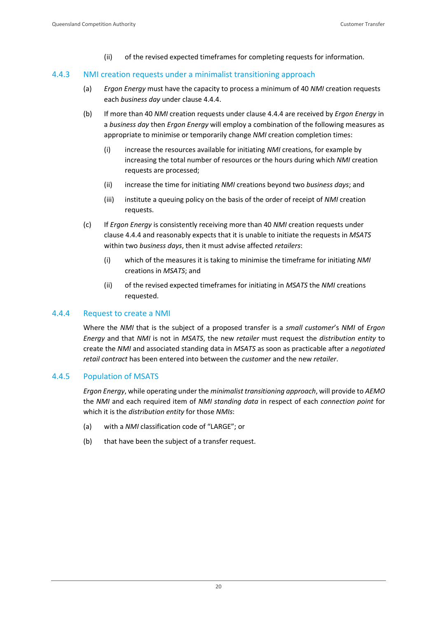(ii) of the revised expected timeframes for completing requests for information.

#### <span id="page-24-0"></span>4.4.3 NMI creation requests under a minimalist transitioning approach

- (a) *Ergon Energy* must have the capacity to process a minimum of 40 *NMI* creation requests each *business day* under clause 4.4.4.
- (b) If more than 40 *NMI* creation requests under clause 4.4.4 are received by *Ergon Energy* in a *business day* then *Ergon Energy* will employ a combination of the following measures as appropriate to minimise or temporarily change *NMI* creation completion times:
	- (i) increase the resources available for initiating *NMI* creations, for example by increasing the total number of resources or the hours during which *NMI* creation requests are processed;
	- (ii) increase the time for initiating *NMI* creations beyond two *business days*; and
	- (iii) institute a queuing policy on the basis of the order of receipt of *NMI* creation requests.
- (c) If *Ergon Energy* is consistently receiving more than 40 *NMI* creation requests under clause 4.4.4 and reasonably expects that it is unable to initiate the requests in *MSATS* within two *business days*, then it must advise affected *retailers*:
	- (i) which of the measures it is taking to minimise the timeframe for initiating *NMI* creations in *MSATS*; and
	- (ii) of the revised expected timeframes for initiating in *MSATS* the *NMI* creations requested.

#### <span id="page-24-1"></span>4.4.4 Request to create a NMI

Where the *NMI* that is the subject of a proposed transfer is a *small customer*'s *NMI* of *Ergon Energy* and that *NMI* is not in *MSATS*, the new *retailer* must request the *distribution entity* to create the *NMI* and associated standing data in *MSATS* as soon as practicable after a *negotiated retail contract* has been entered into between the *customer* and the new *retailer*.

#### <span id="page-24-2"></span>4.4.5 Population of MSATS

*Ergon Energy*, while operating under the *minimalist transitioning approach*, will provide to *AEMO* the *NMI* and each required item of *NMI standing data* in respect of each *connection point* for which it is the *distribution entity* for those *NMIs*:

- (a) with a *NMI* classification code of "LARGE"; or
- (b) that have been the subject of a transfer request.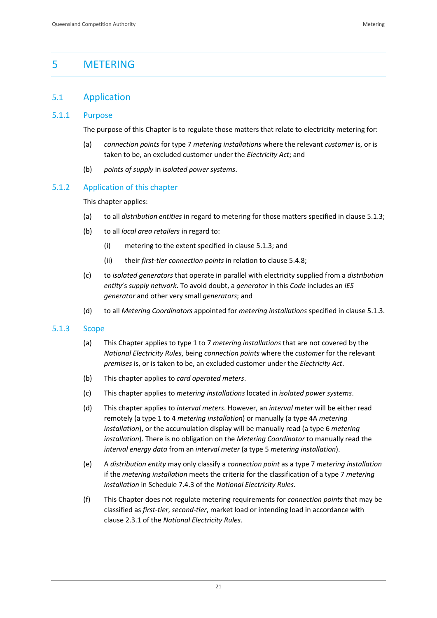# <span id="page-25-0"></span>5 METERING

# <span id="page-25-1"></span>5.1 Application

#### <span id="page-25-2"></span>5.1.1 Purpose

The purpose of this Chapter is to regulate those matters that relate to electricity metering for:

- (a) *connection points* for type 7 *metering installations* where the relevant *customer* is, or is taken to be, an excluded customer under the *Electricity Act*; and
- (b) *points of supply* in *isolated power systems*.

#### <span id="page-25-3"></span>5.1.2 Application of this chapter

This chapter applies:

- (a) to all *distribution entities* in regard to metering for those matters specified in clause 5.1.3;
- (b) to all *local area retailers* in regard to:
	- (i) metering to the extent specified in clause 5.1.3; and
	- (ii) their *first-tier connection points* in relation to clause 5.4.8;
- (c) to *isolated generators* that operate in parallel with electricity supplied from a *distribution entity*'s *supply network*. To avoid doubt, a *generator* in this *Code* includes an *IES generator* and other very small *generators*; and
- (d) to all *Metering Coordinators* appointed for *metering installations* specified in clause 5.1.3.

#### <span id="page-25-4"></span>5.1.3 Scope

- (a) This Chapter applies to type 1 to 7 *metering installations* that are not covered by the *National Electricity Rules*, being *connection points* where the *customer* for the relevant *premises* is, or is taken to be, an excluded customer under the *Electricity Act*.
- (b) This chapter applies to *card operated meters*.
- (c) This chapter applies to *metering installations* located in *isolated power systems*.
- (d) This chapter applies to *interval meters*. However, an *interval meter* will be either read remotely (a type 1 to 4 *metering installation*) or manually (a type 4A *metering installation*), or the accumulation display will be manually read (a type 6 *metering installation*). There is no obligation on the *Metering Coordinator* to manually read the *interval energy data* from an *interval meter* (a type 5 *metering installation*).
- (e) A *distribution entity* may only classify a *connection point* as a type 7 *metering installation* if the *metering installation* meets the criteria for the classification of a type 7 *metering installation* in Schedule 7.4.3 of the *National Electricity Rules*.
- (f) This Chapter does not regulate metering requirements for *connection points* that may be classified as *first-tier*, *second-tier*, market load or intending load in accordance with clause 2.3.1 of the *National Electricity Rules*.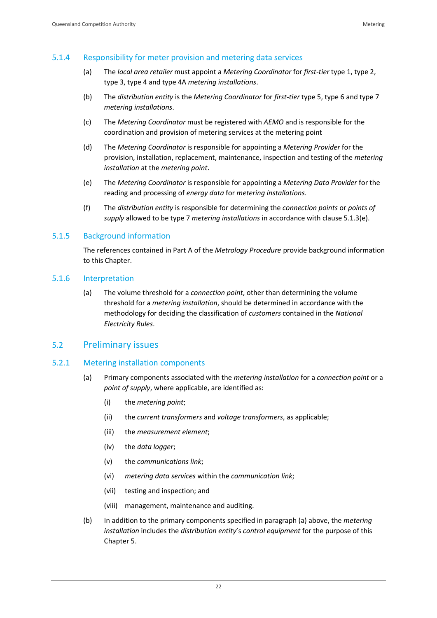#### <span id="page-26-0"></span>5.1.4 Responsibility for meter provision and metering data services

- (a) The *local area retailer* must appoint a *Metering Coordinator* for *first-tier* type 1, type 2, type 3, type 4 and type 4A *metering installations*.
- (b) The *distribution entity* is the *Metering Coordinator* for *first-tier* type 5, type 6 and type 7 *metering installations*.
- (c) The *Metering Coordinator* must be registered with *AEMO* and is responsible for the coordination and provision of metering services at the metering point
- (d) The *Metering Coordinator* is responsible for appointing a *Metering Provider* for the provision, installation, replacement, maintenance, inspection and testing of the *metering installation* at the *metering point*.
- (e) The *Metering Coordinator* is responsible for appointing a *Metering Data Provider* for the reading and processing of *energy data* for *metering installations*.
- (f) The *distribution entity* is responsible for determining the *connection points* or *points of supply* allowed to be type 7 *metering installations* in accordance with clause 5.1.3(e).

#### <span id="page-26-1"></span>5.1.5 Background information

The references contained in Part A of the *Metrology Procedure* provide background information to this Chapter.

#### <span id="page-26-2"></span>5.1.6 Interpretation

(a) The volume threshold for a *connection point*, other than determining the volume threshold for a *metering installation*, should be determined in accordance with the methodology for deciding the classification of *customers* contained in the *National Electricity Rules*.

#### <span id="page-26-3"></span>5.2 Preliminary issues

#### <span id="page-26-4"></span>5.2.1 Metering installation components

- (a) Primary components associated with the *metering installation* for a *connection point* or a *point of supply*, where applicable, are identified as:
	- (i) the *metering point*;
	- (ii) the *current transformers* and *voltage transformers*, as applicable;
	- (iii) the *measurement element*;
	- (iv) the *data logger*;
	- (v) the *communications link*;
	- (vi) *metering data services* within the *communication link*;
	- (vii) testing and inspection; and
	- (viii) management, maintenance and auditing.
- (b) In addition to the primary components specified in paragraph (a) above, the *metering installation* includes the *distribution entity*'s *control equipment* for the purpose of this Chapter 5.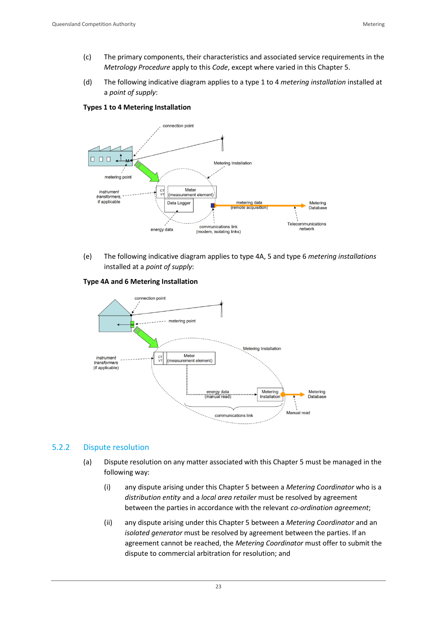- (c) The primary components, their characteristics and associated service requirements in the *Metrology Procedure* apply to this *Code*, except where varied in this Chapter 5.
- (d) The following indicative diagram applies to a type 1 to 4 *metering installation* installed at a *point of supply*:

**Types 1 to 4 Metering Installation**



(e) The following indicative diagram applies to type 4A, 5 and type 6 *metering installations* installed at a *point of supply*:

**Type 4A and 6 Metering Installation**



#### <span id="page-27-0"></span>5.2.2 Dispute resolution

- (a) Dispute resolution on any matter associated with this Chapter 5 must be managed in the following way:
	- (i) any dispute arising under this Chapter 5 between a *Metering Coordinator* who is a *distribution entity* and a *local area retailer* must be resolved by agreement between the parties in accordance with the relevant *co-ordination agreement*;
	- (ii) any dispute arising under this Chapter 5 between a *Metering Coordinator* and an *isolated generator* must be resolved by agreement between the parties. If an agreement cannot be reached, the *Metering Coordinator* must offer to submit the dispute to commercial arbitration for resolution; and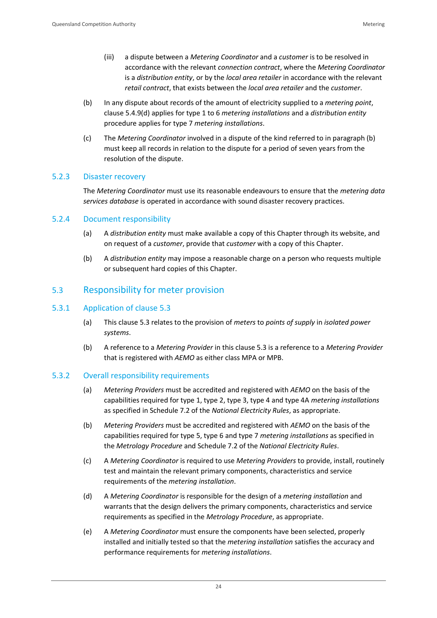- (iii) a dispute between a *Metering Coordinator* and a *customer* is to be resolved in accordance with the relevant *connection contract*, where the *Metering Coordinator* is a *distribution entity*, or by the *local area retailer* in accordance with the relevant *retail contract*, that exists between the *local area retailer* and the *customer*.
- (b) In any dispute about records of the amount of electricity supplied to a *metering point*, clause 5.4.9(d) applies for type 1 to 6 *metering installations* and a *distribution entity* procedure applies for type 7 *metering installations*.
- (c) The *Metering Coordinator* involved in a dispute of the kind referred to in paragraph (b) must keep all records in relation to the dispute for a period of seven years from the resolution of the dispute.

#### <span id="page-28-0"></span>5.2.3 Disaster recovery

The *Metering Coordinator* must use its reasonable endeavours to ensure that the *metering data services database* is operated in accordance with sound disaster recovery practices.

#### <span id="page-28-1"></span>5.2.4 Document responsibility

- (a) A *distribution entity* must make available a copy of this Chapter through its website, and on request of a *customer*, provide that *customer* with a copy of this Chapter.
- (b) A *distribution entity* may impose a reasonable charge on a person who requests multiple or subsequent hard copies of this Chapter.

#### <span id="page-28-2"></span>5.3 Responsibility for meter provision

#### <span id="page-28-3"></span>5.3.1 Application of clause 5.3

- (a) This clause 5.3 relates to the provision of *meters* to *points of supply* in *isolated power systems*.
- (b) A reference to a *Metering Provider* in this clause 5.3 is a reference to a *Metering Provider* that is registered with *AEMO* as either class MPA or MPB.

#### <span id="page-28-4"></span>5.3.2 Overall responsibility requirements

- (a) *Metering Providers* must be accredited and registered with *AEMO* on the basis of the capabilities required for type 1, type 2, type 3, type 4 and type 4A *metering installations* as specified in Schedule 7.2 of the *National Electricity Rules*, as appropriate.
- (b) *Metering Providers* must be accredited and registered with *AEMO* on the basis of the capabilities required for type 5, type 6 and type 7 *metering installations* as specified in the *Metrology Procedure* and Schedule 7.2 of the *National Electricity Rules*.
- (c) A *Metering Coordinator* is required to use *Metering Providers* to provide, install, routinely test and maintain the relevant primary components, characteristics and service requirements of the *metering installation*.
- (d) A *Metering Coordinator* is responsible for the design of a *metering installation* and warrants that the design delivers the primary components, characteristics and service requirements as specified in the *Metrology Procedure*, as appropriate.
- (e) A *Metering Coordinator* must ensure the components have been selected, properly installed and initially tested so that the *metering installation* satisfies the accuracy and performance requirements for *metering installations*.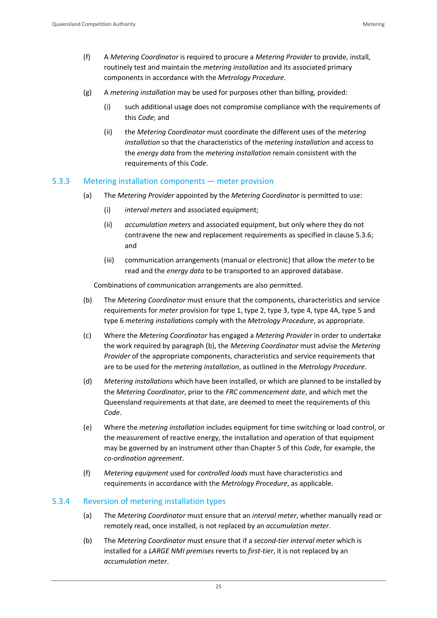- (f) A *Metering Coordinator* is required to procure a *Metering Provider* to provide, install, routinely test and maintain the *metering installation* and its associated primary components in accordance with the *Metrology Procedure*.
- (g) A *metering installation* may be used for purposes other than billing, provided:
	- (i) such additional usage does not compromise compliance with the requirements of this *Code*; and
	- (ii) the *Metering Coordinator* must coordinate the different uses of the *metering installation* so that the characteristics of the *metering installation* and access to the *energy data* from the *metering installation* remain consistent with the requirements of this *Code*.

#### <span id="page-29-0"></span>5.3.3 Metering installation components — meter provision

- (a) The *Metering Provider* appointed by the *Metering Coordinator* is permitted to use:
	- (i) *interval meters* and associated equipment;
	- (ii) *accumulation meters* and associated equipment, but only where they do not contravene the new and replacement requirements as specified in clause 5.3.6; and
	- (iii) communication arrangements (manual or electronic) that allow the *meter* to be read and the *energy data* to be transported to an approved database.

Combinations of communication arrangements are also permitted.

- (b) The *Metering Coordinator* must ensure that the components, characteristics and service requirements for *meter* provision for type 1, type 2, type 3, type 4, type 4A, type 5 and type 6 *metering installations* comply with the *Metrology Procedure*, as appropriate.
- (c) Where the *Metering Coordinator* has engaged a *Metering Provider* in order to undertake the work required by paragraph (b), the *Metering Coordinator* must advise the *Metering Provider* of the appropriate components, characteristics and service requirements that are to be used for the *metering installation*, as outlined in the *Metrology Procedure*.
- (d) *Metering installations* which have been installed, or which are planned to be installed by the *Metering Coordinator*, prior to the *FRC commencement date*, and which met the Queensland requirements at that date, are deemed to meet the requirements of this *Code*.
- (e) Where the *metering installation* includes equipment for time switching or load control, or the measurement of reactive energy, the installation and operation of that equipment may be governed by an instrument other than Chapter 5 of this *Code*, for example, the *co-ordination agreement*.
- (f) *Metering equipment* used for *controlled loads* must have characteristics and requirements in accordance with the *Metrology Procedure*, as applicable.

#### <span id="page-29-1"></span>5.3.4 Reversion of metering installation types

- (a) The *Metering Coordinator* must ensure that an *interval meter*, whether manually read or remotely read, once installed, is not replaced by an *accumulation meter*.
- (b) The *Metering Coordinator* must ensure that if a *second-tier interval meter* which is installed for a *LARGE NMI premises* reverts to *first-tier*, it is not replaced by an *accumulation meter*.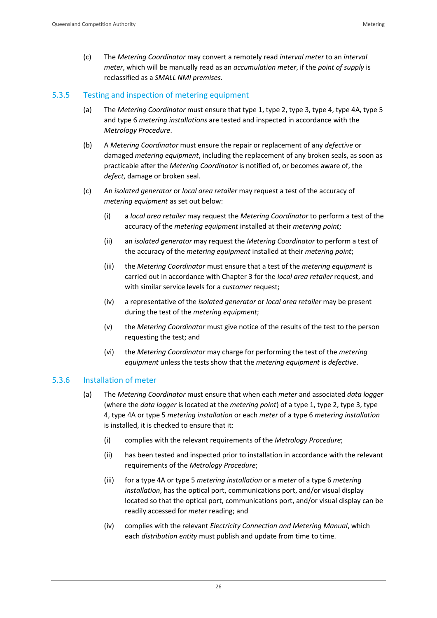(c) The *Metering Coordinator* may convert a remotely read *interval meter* to an *interval meter*, which will be manually read as an *accumulation meter*, if the *point of supply* is reclassified as a *SMALL NMI premises*.

#### <span id="page-30-0"></span>5.3.5 Testing and inspection of metering equipment

- (a) The *Metering Coordinator* must ensure that type 1, type 2, type 3, type 4, type 4A, type 5 and type 6 *metering installations* are tested and inspected in accordance with the *Metrology Procedure*.
- (b) A *Metering Coordinator* must ensure the repair or replacement of any *defective* or damaged *metering equipment*, including the replacement of any broken seals, as soon as practicable after the *Metering Coordinator* is notified of, or becomes aware of, the *defect*, damage or broken seal.
- (c) An *isolated generator* or *local area retailer* may request a test of the accuracy of *metering equipment* as set out below:
	- (i) a *local area retailer* may request the *Metering Coordinator* to perform a test of the accuracy of the *metering equipment* installed at their *metering point*;
	- (ii) an *isolated generator* may request the *Metering Coordinator* to perform a test of the accuracy of the *metering equipment* installed at their *metering point*;
	- (iii) the *Metering Coordinator* must ensure that a test of the *metering equipment* is carried out in accordance with Chapter 3 for the *local area retailer* request, and with similar service levels for a *customer* request;
	- (iv) a representative of the *isolated generator* or *local area retailer* may be present during the test of the *metering equipment*;
	- (v) the *Metering Coordinator* must give notice of the results of the test to the person requesting the test; and
	- (vi) the *Metering Coordinator* may charge for performing the test of the *metering equipment* unless the tests show that the *metering equipment* is *defective*.

#### <span id="page-30-1"></span>5.3.6 Installation of meter

- (a) The *Metering Coordinator* must ensure that when each *meter* and associated *data logger* (where the *data logger* is located at the *metering point*) of a type 1, type 2, type 3, type 4, type 4A or type 5 *metering installation* or each *meter* of a type 6 *metering installation* is installed, it is checked to ensure that it:
	- (i) complies with the relevant requirements of the *Metrology Procedure*;
	- (ii) has been tested and inspected prior to installation in accordance with the relevant requirements of the *Metrology Procedure*;
	- (iii) for a type 4A or type 5 *metering installation* or a *meter* of a type 6 *metering installation*, has the optical port, communications port, and/or visual display located so that the optical port, communications port, and/or visual display can be readily accessed for *meter* reading; and
	- (iv) complies with the relevant *Electricity Connection and Metering Manual*, which each *distribution entity* must publish and update from time to time.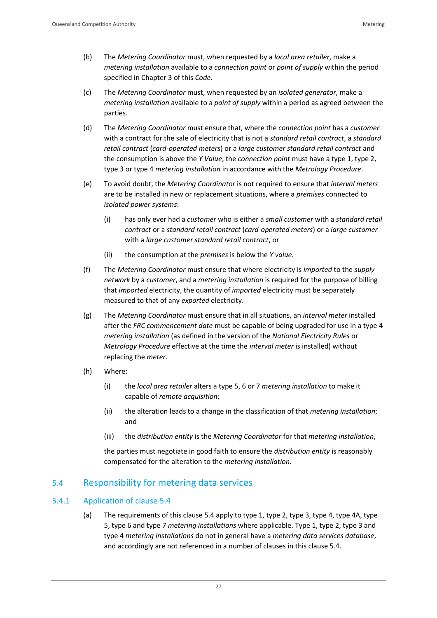- (b) The *Metering Coordinator* must, when requested by a *local area retailer*, make a *metering installation* available to a *connection point* or *point of supply* within the period specified in Chapter 3 of this *Code*.
- (c) The *Metering Coordinator* must, when requested by an *isolated generator*, make a *metering installation* available to a *point of supply* within a period as agreed between the parties.
- (d) The *Metering Coordinator* must ensure that, where the *connection point* has a *customer* with a contract for the sale of electricity that is not a *standard retail contract*, a *standard retail contract* (*card-operated meters*) or a *large customer standard retail contract* and the consumption is above the *Y Value*, the *connection point* must have a type 1, type 2, type 3 or type 4 *metering installation* in accordance with the *Metrology Procedure*.
- (e) To avoid doubt, the *Metering Coordinator* is not required to ensure that *interval meters* are to be installed in new or replacement situations, where a *premises* connected to *isolated power systems*:
	- (i) has only ever had a *customer* who is either a *small customer* with a *standard retail contract* or a *standard retail contract* (*card-operated meters*) or a *large customer* with a *large customer standard retail contract*, or
	- (ii) the consumption at the *premises* is below the *Y value*.
- (f) The *Metering Coordinator* must ensure that where electricity is *imported* to the *supply network* by a *customer*, and a *metering installation* is required for the purpose of billing that *imported* electricity, the quantity of *imported* electricity must be separately measured to that of any *exported* electricity.
- (g) The *Metering Coordinator* must ensure that in all situations, an *interval meter* installed after the *FRC commencement date* must be capable of being upgraded for use in a type 4 *metering installation* (as defined in the version of the *National Electricity Rules* or *Metrology Procedure* effective at the time the *interval meter* is installed) without replacing the *meter*.
- (h) Where:
	- (i) the *local area retailer* alters a type 5, 6 or 7 *metering installation* to make it capable of *remote acquisition*;
	- (ii) the alteration leads to a change in the classification of that *metering installation*; and
	- (iii) the *distribution entity* is the *Metering Coordinator* for that *metering installation*,

the parties must negotiate in good faith to ensure the *distribution entity* is reasonably compensated for the alteration to the *metering installation*.

## <span id="page-31-0"></span>5.4 Responsibility for metering data services

#### <span id="page-31-1"></span>5.4.1 Application of clause 5.4

(a) The requirements of this clause 5.4 apply to type 1, type 2, type 3, type 4, type 4A, type 5, type 6 and type 7 *metering installations* where applicable. Type 1, type 2, type 3 and type 4 *metering installations* do not in general have a *metering data services database*, and accordingly are not referenced in a number of clauses in this clause 5.4.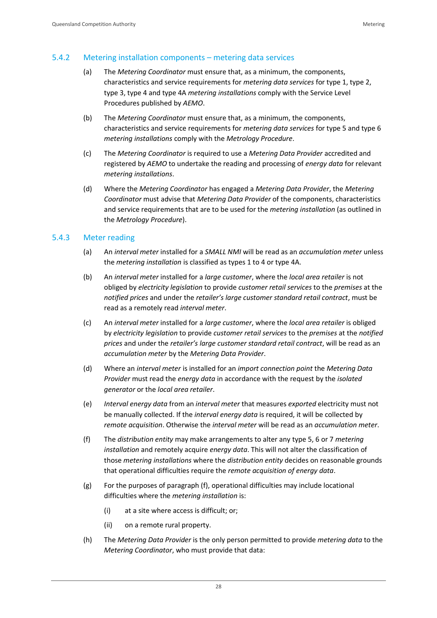#### <span id="page-32-0"></span>5.4.2 Metering installation components – metering data services

- (a) The *Metering Coordinator* must ensure that, as a minimum, the components, characteristics and service requirements for *metering data services* for type 1, type 2, type 3, type 4 and type 4A *metering installations* comply with the Service Level Procedures published by *AEMO*.
- (b) The *Metering Coordinator* must ensure that, as a minimum, the components, characteristics and service requirements for *metering data services* for type 5 and type 6 *metering installations* comply with the *Metrology Procedure*.
- (c) The *Metering Coordinator* is required to use a *Metering Data Provider* accredited and registered by *AEMO* to undertake the reading and processing of *energy data* for relevant *metering installations*.
- (d) Where the *Metering Coordinator* has engaged a *Metering Data Provider*, the *Metering Coordinator* must advise that *Metering Data Provider* of the components, characteristics and service requirements that are to be used for the *metering installation* (as outlined in the *Metrology Procedure*).

#### <span id="page-32-1"></span>5.4.3 Meter reading

- (a) An *interval meter* installed for a *SMALL NMI* will be read as an *accumulation meter* unless the *metering installation* is classified as types 1 to 4 or type 4A.
- (b) An *interval meter* installed for a *large customer*, where the *local area retailer* is not obliged by *electricity legislation* to provide *customer retail services* to the *premises* at the *notified prices* and under the *retailer's large customer standard retail contract*, must be read as a remotely read *interval meter*.
- (c) An *interval meter* installed for a *large customer*, where the *local area retailer* is obliged by *electricity legislation* to provide *customer retail services* to the *premises* at the *notified prices* and under the *retailer's large customer standard retail contract*, will be read as an *accumulation meter* by the *Metering Data Provider*.
- (d) Where an *interval meter* is installed for an *import connection point* the *Metering Data Provider* must read the *energy data* in accordance with the request by the *isolated generator* or the *local area retailer*.
- (e) *Interval energy data* from an *interval meter* that measures *exported* electricity must not be manually collected. If the *interval energy data* is required, it will be collected by *remote acquisition*. Otherwise the *interval meter* will be read as an *accumulation meter*.
- (f) The *distribution entity* may make arrangements to alter any type 5, 6 or 7 *metering installation* and remotely acquire *energy data*. This will not alter the classification of those *metering installations* where the *distribution entity* decides on reasonable grounds that operational difficulties require the *remote acquisition of energy data*.
- (g) For the purposes of paragraph (f), operational difficulties may include locational difficulties where the *metering installation* is:
	- (i) at a site where access is difficult; or;
	- (ii) on a remote rural property.
- (h) The *Metering Data Provider* is the only person permitted to provide *metering data* to the *Metering Coordinator*, who must provide that data: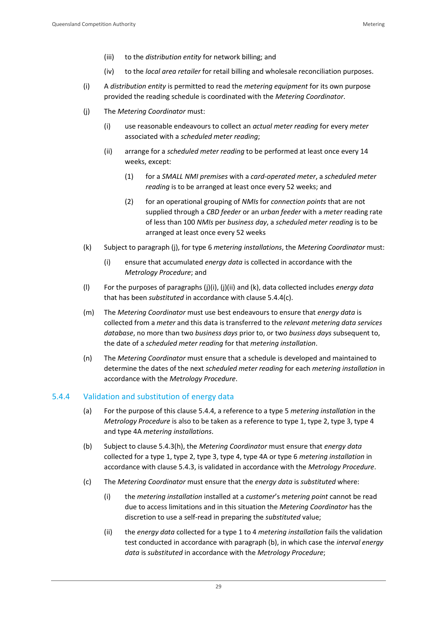- (iii) to the *distribution entity* for network billing; and
- (iv) to the *local area retailer* for retail billing and wholesale reconciliation purposes.
- (i) A *distribution entity* is permitted to read the *metering equipment* for its own purpose provided the reading schedule is coordinated with the *Metering Coordinator*.
- (j) The *Metering Coordinator* must:
	- (i) use reasonable endeavours to collect an *actual meter reading* for every *meter* associated with a *scheduled meter reading*;
	- (ii) arrange for a *scheduled meter reading* to be performed at least once every 14 weeks, except:
		- (1) for a *SMALL NMI premises* with a *card-operated meter*, a *scheduled meter reading* is to be arranged at least once every 52 weeks; and
		- (2) for an operational grouping of *NMIs* for *connection points* that are not supplied through a *CBD feeder* or an *urban feeder* with a *meter* reading rate of less than 100 *NMIs* per *business day*, a *scheduled meter reading* is to be arranged at least once every 52 weeks
- (k) Subject to paragraph (j), for type 6 *metering installations*, the *Metering Coordinator* must:
	- (i) ensure that accumulated *energy data* is collected in accordance with the *Metrology Procedure*; and
- (l) For the purposes of paragraphs (j)(i), (j)(ii) and (k), data collected includes *energy data*  that has been *substituted* in accordance with clause 5.4.4(c).
- (m) The *Metering Coordinator* must use best endeavours to ensure that *energy data* is collected from a *meter* and this data is transferred to the *relevant metering data services database*, no more than two *business days* prior to, or two *business days* subsequent to, the date of a *scheduled meter reading* for that *metering installation*.
- (n) The *Metering Coordinator* must ensure that a schedule is developed and maintained to determine the dates of the next *scheduled meter reading* for each *metering installation* in accordance with the *Metrology Procedure*.

#### <span id="page-33-0"></span>5.4.4 Validation and substitution of energy data

- (a) For the purpose of this clause 5.4.4, a reference to a type 5 *metering installation* in the *Metrology Procedure* is also to be taken as a reference to type 1, type 2, type 3, type 4 and type 4A *metering installations*.
- (b) Subject to clause 5.4.3(h), the *Metering Coordinator* must ensure that *energy data* collected for a type 1, type 2, type 3, type 4, type 4A or type 6 *metering installation* in accordance with clause 5.4.3, is validated in accordance with the *Metrology Procedure*.
- (c) The *Metering Coordinator* must ensure that the *energy data* is *substituted* where:
	- (i) the *metering installation* installed at a *customer*'s *metering point* cannot be read due to access limitations and in this situation the *Metering Coordinator* has the discretion to use a self-read in preparing the *substituted* value;
	- (ii) the *energy data* collected for a type 1 to 4 *metering installation* fails the validation test conducted in accordance with paragraph (b), in which case the *interval energy data* is *substituted* in accordance with the *Metrology Procedure*;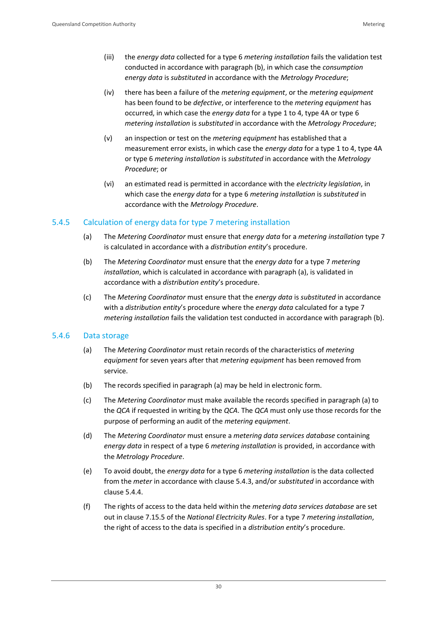- (iii) the *energy data* collected for a type 6 *metering installation* fails the validation test conducted in accordance with paragraph (b), in which case the *consumption energy data* is *substituted* in accordance with the *Metrology Procedure*;
- (iv) there has been a failure of the *metering equipment*, or the *metering equipment* has been found to be *defective*, or interference to the *metering equipment* has occurred, in which case the *energy data* for a type 1 to 4, type 4A or type 6 *metering installation* is *substituted* in accordance with the *Metrology Procedure*;
- (v) an inspection or test on the *metering equipment* has established that a measurement error exists, in which case the *energy data* for a type 1 to 4, type 4A or type 6 *metering installation* is *substituted* in accordance with the *Metrology Procedure*; or
- (vi) an estimated read is permitted in accordance with the *electricity legislation*, in which case the *energy data* for a type 6 *metering installation* is *substituted* in accordance with the *Metrology Procedure*.

#### <span id="page-34-0"></span>5.4.5 Calculation of energy data for type 7 metering installation

- (a) The *Metering Coordinator* must ensure that *energy data* for a *metering installation* type 7 is calculated in accordance with a *distribution entity*'s procedure.
- (b) The *Metering Coordinator* must ensure that the *energy data* for a type 7 *metering installation*, which is calculated in accordance with paragraph (a), is validated in accordance with a *distribution entity*'s procedure.
- (c) The *Metering Coordinator* must ensure that the *energy data* is *substituted* in accordance with a *distribution entity*'s procedure where the *energy data* calculated for a type 7 *metering installation* fails the validation test conducted in accordance with paragraph (b).

#### <span id="page-34-1"></span>5.4.6 Data storage

- (a) The *Metering Coordinator* must retain records of the characteristics of *metering equipment* for seven years after that *metering equipment* has been removed from service.
- (b) The records specified in paragraph (a) may be held in electronic form.
- (c) The *Metering Coordinator* must make available the records specified in paragraph (a) to the *QCA* if requested in writing by the *QCA*. The *QCA* must only use those records for the purpose of performing an audit of the *metering equipment*.
- (d) The *Metering Coordinator* must ensure a *metering data services database* containing *energy data* in respect of a type 6 *metering installation* is provided, in accordance with the *Metrology Procedure*.
- (e) To avoid doubt, the *energy data* for a type 6 *metering installation* is the data collected from the *meter* in accordance with clause 5.4.3, and/or *substituted* in accordance with clause 5.4.4.
- (f) The rights of access to the data held within the *metering data services database* are set out in clause 7.15.5 of the *National Electricity Rules*. For a type 7 *metering installation*, the right of access to the data is specified in a *distribution entity*'s procedure.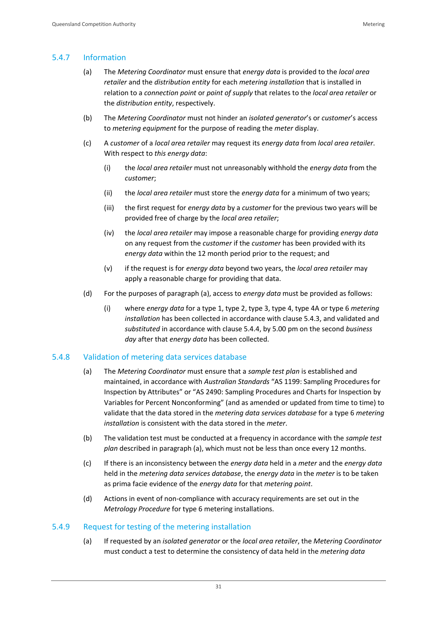#### <span id="page-35-0"></span>5.4.7 Information

- (a) The *Metering Coordinator* must ensure that *energy data* is provided to the *local area retailer* and the *distribution entity* for each *metering installation* that is installed in relation to a *connection point* or *point of supply* that relates to the *local area retailer* or the *distribution entity*, respectively.
- (b) The *Metering Coordinator* must not hinder an *isolated generator*'s or *customer*'s access to *metering equipment* for the purpose of reading the *meter* display.
- (c) A *customer* of a *local area retailer* may request its *energy data* from *local area retailer*. With respect to *this energy data*:
	- (i) the *local area retailer* must not unreasonably withhold the *energy data* from the *customer*;
	- (ii) the *local area retailer* must store the *energy data* for a minimum of two years;
	- (iii) the first request for *energy data* by a *customer* for the previous two years will be provided free of charge by the *local area retailer*;
	- (iv) the *local area retailer* may impose a reasonable charge for providing *energy data* on any request from the *customer* if the *customer* has been provided with its *energy data* within the 12 month period prior to the request; and
	- (v) if the request is for *energy data* beyond two years, the *local area retailer* may apply a reasonable charge for providing that data.
- (d) For the purposes of paragraph (a), access to *energy data* must be provided as follows:
	- (i) where *energy data* for a type 1, type 2, type 3, type 4, type 4A or type 6 *metering installation* has been collected in accordance with clause 5.4.3, and validated and *substituted* in accordance with clause 5.4.4, by 5.00 pm on the second *business day* after that *energy data* has been collected.

#### <span id="page-35-1"></span>5.4.8 Validation of metering data services database

- (a) The *Metering Coordinator* must ensure that a *sample test plan* is established and maintained, in accordance with *Australian Standards* "AS 1199: Sampling Procedures for Inspection by Attributes" or "AS 2490: Sampling Procedures and Charts for Inspection by Variables for Percent Nonconforming" (and as amended or updated from time to time) to validate that the data stored in the *metering data services database* for a type 6 *metering installation* is consistent with the data stored in the *meter*.
- (b) The validation test must be conducted at a frequency in accordance with the *sample test plan* described in paragraph (a), which must not be less than once every 12 months.
- (c) If there is an inconsistency between the *energy data* held in a *meter* and the *energy data* held in the *metering data services database*, the *energy data* in the *meter* is to be taken as prima facie evidence of the *energy data* for that *metering point*.
- (d) Actions in event of non-compliance with accuracy requirements are set out in the *Metrology Procedure* for type 6 metering installations.

#### <span id="page-35-2"></span>5.4.9 Request for testing of the metering installation

(a) If requested by an *isolated generator* or the *local area retailer*, the *Metering Coordinator* must conduct a test to determine the consistency of data held in the *metering data*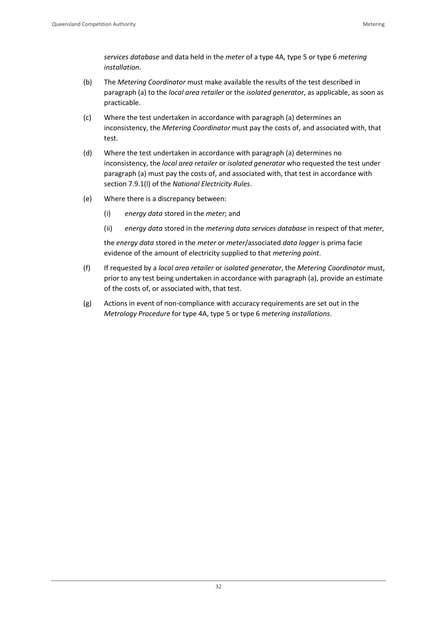*services database* and data held in the *meter* of a type 4A, type 5 or type 6 *metering installation*.

- (b) The *Metering Coordinator* must make available the results of the test described in paragraph (a) to the *local area retailer* or the *isolated generator*, as applicable, as soon as practicable.
- (c) Where the test undertaken in accordance with paragraph (a) determines an inconsistency, the *Metering Coordinator* must pay the costs of, and associated with, that test.
- (d) Where the test undertaken in accordance with paragraph (a) determines no inconsistency, the *local area retailer* or *isolated generator* who requested the test under paragraph (a) must pay the costs of, and associated with, that test in accordance with section 7.9.1(l) of the *National Electricity Rules*.
- (e) Where there is a discrepancy between:
	- (i) *energy data* stored in the *meter*; and
	- (ii) *energy data* stored in the *metering data services database* in respect of that *meter*,

the *energy data* stored in the *meter* or *meter*/associated *data logger* is prima facie evidence of the amount of electricity supplied to that *metering point*.

- (f) If requested by a *local area retailer* or *isolated generator*, the *Metering Coordinator* must, prior to any test being undertaken in accordance with paragraph (a), provide an estimate of the costs of, or associated with, that test.
- (g) Actions in event of non-compliance with accuracy requirements are set out in the *Metrology Procedure* for type 4A, type 5 or type 6 *metering installations*.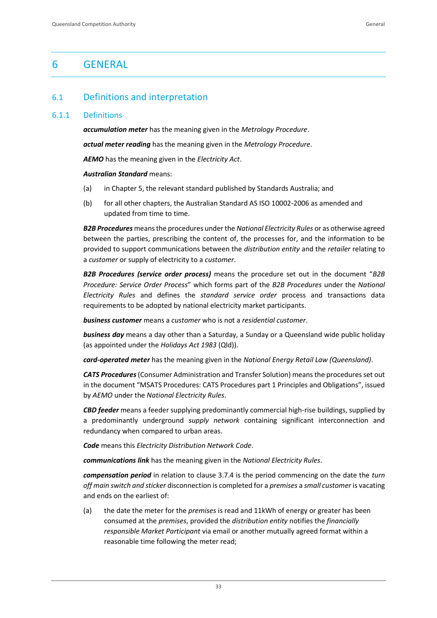# <span id="page-37-0"></span>6 GENERAL

# <span id="page-37-1"></span>6.1 Definitions and interpretation

#### <span id="page-37-2"></span>6.1.1 Definitions

*accumulation meter* has the meaning given in the *Metrology Procedure*.

*actual meter reading* has the meaning given in the *Metrology Procedure*.

*AEMO* has the meaning given in the *Electricity Act*.

*Australian Standard* means:

- (a) in Chapter 5, the relevant standard published by Standards Australia; and
- (b) for all other chapters, the Australian Standard AS ISO 10002-2006 as amended and updated from time to time.

*B2B Procedures* means the procedures under the *National Electricity Rules* or as otherwise agreed between the parties, prescribing the content of, the processes for, and the information to be provided to support communications between the *distribution entity* and the *retailer* relating to a *customer* or supply of electricity to a *customer*.

*B2B Procedures (service order process)* means the procedure set out in the document "*B2B Procedure: Service Order Process*" which forms part of the *B2B Procedures* under the *National Electricity Rules* and defines the *standard service order* process and transactions data requirements to be adopted by national electricity market participants.

*business customer* means a *customer* who is not a *residential customer*.

*business day* means a day other than a Saturday, a Sunday or a Queensland wide public holiday (as appointed under the *Holidays Act 1983* (Qld)).

*card-operated meter* has the meaning given in the *National Energy Retail Law (Queensland)*.

*CATS Procedures*(Consumer Administration and Transfer Solution) means the procedures set out in the document "MSATS Procedures: CATS Procedures part 1 Principles and Obligations", issued by *AEMO* under the *National Electricity Rules*.

*CBD feeder* means a feeder supplying predominantly commercial high-rise buildings, supplied by a predominantly underground *supply network* containing significant interconnection and redundancy when compared to urban areas.

*Code* means this *Electricity Distribution Network Code*.

*communications link* has the meaning given in the *National Electricity Rules*.

*compensation period* in relation to clause 3.7.4 is the period commencing on the date the *turn off main switch and sticker* disconnection is completed for a *premises* a *small customer* is vacating and ends on the earliest of:

(a) the date the meter for the *premises* is read and 11kWh of energy or greater has been consumed at the *premises*, provided the *distribution entity* notifies the *financially responsible Market Participant* via email or another mutually agreed format within a reasonable time following the meter read;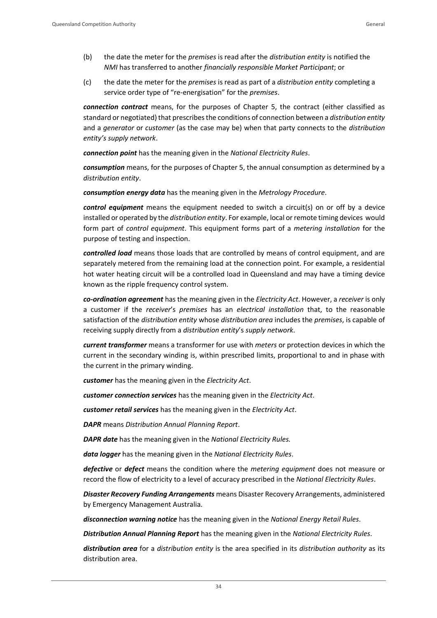- (b) the date the meter for the *premises* is read after the *distribution entity* is notified the *NMI* has transferred to another *financially responsible Market Participant*; or
- (c) the date the meter for the *premises* is read as part of a *distribution entity* completing a service order type of "re-energisation" for the *premises*.

*connection contract* means, for the purposes of Chapter 5, the contract (either classified as standard or negotiated) that prescribes the conditions of connection between a *distribution entity* and a *generator* or *customer* (as the case may be) when that party connects to the *distribution entity's supply network*.

*connection point* has the meaning given in the *National Electricity Rules*.

*consumption* means, for the purposes of Chapter 5, the annual consumption as determined by a *distribution entity*.

*consumption energy data* has the meaning given in the *Metrology Procedure*.

*control equipment* means the equipment needed to switch a circuit(s) on or off by a device installed or operated by the *distribution entity*. For example, local or remote timing devices would form part of *control equipment*. This equipment forms part of a *metering installation* for the purpose of testing and inspection.

*controlled load* means those loads that are controlled by means of control equipment, and are separately metered from the remaining load at the connection point. For example, a residential hot water heating circuit will be a controlled load in Queensland and may have a timing device known as the ripple frequency control system.

*co-ordination agreement* has the meaning given in the *Electricity Act*. However, a *receiver* is only a customer if the *receiver*'s *premises* has an *electrical installation* that, to the reasonable satisfaction of the *distribution entity* whose *distribution area* includes the *premises*, is capable of receiving supply directly from a *distribution entity*'s *supply network*.

*current transformer* means a transformer for use with *meters* or protection devices in which the current in the secondary winding is, within prescribed limits, proportional to and in phase with the current in the primary winding.

*customer* has the meaning given in the *Electricity Act*.

*customer connection services* has the meaning given in the *Electricity Act*.

*customer retail services* has the meaning given in the *Electricity Act*.

*DAPR* means *Distribution Annual Planning Report*.

*DAPR date* has the meaning given in the *National Electricity Rules.*

*data logger* has the meaning given in the *National Electricity Rules*.

*defective* or *defect* means the condition where the *metering equipment* does not measure or record the flow of electricity to a level of accuracy prescribed in the *National Electricity Rules*.

*Disaster Recovery Funding Arrangements* means Disaster Recovery Arrangements, administered by Emergency Management Australia.

*disconnection warning notice* has the meaning given in the *National Energy Retail Rules*.

*Distribution Annual Planning Report* has the meaning given in the *National Electricity Rules*.

*distribution area* for a *distribution entity* is the area specified in its *distribution authority* as its distribution area.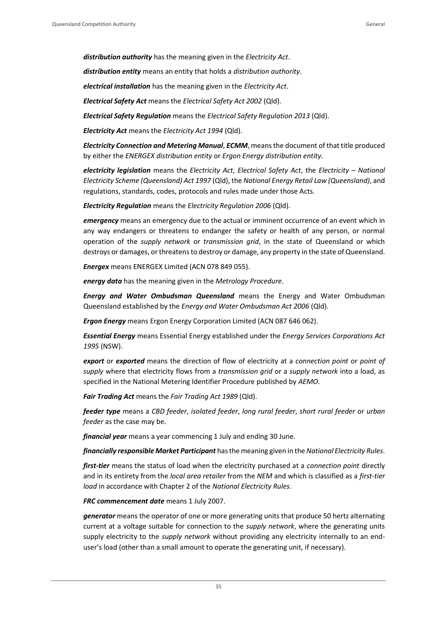*distribution authority* has the meaning given in the *Electricity Act*.

*distribution entity* means an entity that holds a *distribution authority*.

*electrical installation* has the meaning given in the *Electricity Act*.

*Electrical Safety Act* means the *Electrical Safety Act 2002* (Qld).

*Electrical Safety Regulation* means the *Electrical Safety Regulation 2013* (Qld).

*Electricity Act* means the *Electricity Act 1994* (Qld).

*Electricity Connection and Metering Manual*, *ECMM*, means the document of that title produced by either the *ENERGEX distribution entity* or *Ergon Energy distribution entity*.

*electricity legislation* means the *Electricity Act*, *Electrical Safety Act*, the *Electricity – National Electricity Scheme (Queensland) Act 1997* (Qld), the *National Energy Retail Law (Queensland)*, and regulations, standards, codes, protocols and rules made under those Acts.

*Electricity Regulation* means the *Electricity Regulation 2006* (Qld).

**emergency** means an emergency due to the actual or imminent occurrence of an event which in any way endangers or threatens to endanger the safety or health of any person, or normal operation of the *supply network* or *transmission grid*, in the state of Queensland or which destroys or damages, or threatens to destroy or damage, any property in the state of Queensland.

*Energex* means ENERGEX Limited (ACN 078 849 055).

*energy data* has the meaning given in the *Metrology Procedure*.

*Energy and Water Ombudsman Queensland* means the Energy and Water Ombudsman Queensland established by the *Energy and Water Ombudsman Act 2006* (Qld).

*Ergon Energy* means Ergon Energy Corporation Limited (ACN 087 646 062).

*Essential Energy* means Essential Energy established under the *Energy Services Corporations Act 1995* (NSW).

*export* or *exported* means the direction of flow of electricity at a *connection point* or *point of supply* where that electricity flows from a *transmission grid* or a *supply network* into a load, as specified in the National Metering Identifier Procedure published by *AEMO*.

*Fair Trading Act* means the *Fair Trading Act 1989* (Qld).

*feeder type* means a *CBD feeder*, *isolated feeder*, *long rural feeder*, *short rural feeder* or *urban feeder* as the case may be.

*financial year* means a year commencing 1 July and ending 30 June.

*financially responsible Market Participant* has the meaning given in the *National Electricity Rules*.

*first-tier* means the status of load when the electricity purchased at a *connection point* directly and in its entirety from the *local area retailer* from the *NEM* and which is classified as a *first-tier load* in accordance with Chapter 2 of the *National Electricity Rules*.

*FRC commencement date* means 1 July 2007.

*generator* means the operator of one or more generating units that produce 50 hertz alternating current at a voltage suitable for connection to the *supply network*, where the generating units supply electricity to the *supply network* without providing any electricity internally to an enduser's load (other than a small amount to operate the generating unit, if necessary).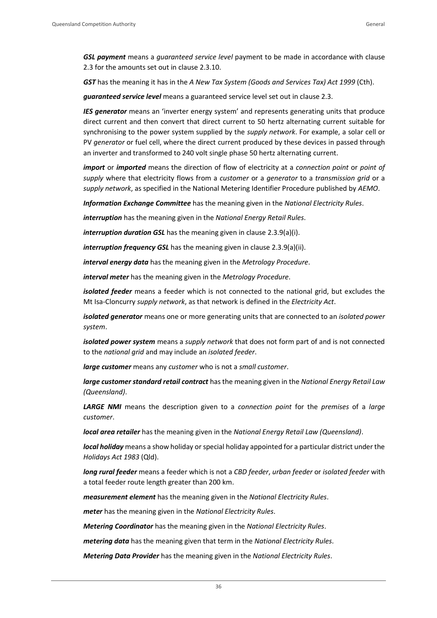*GSL payment* means a *guaranteed service level* payment to be made in accordance with clause 2.3 for the amounts set out in clause 2.3.10.

*GST* has the meaning it has in the *A New Tax System (Goods and Services Tax) Act 1999* (Cth).

*guaranteed service level* means a guaranteed service level set out in clause 2.3.

*IES generator* means an 'inverter energy system' and represents generating units that produce direct current and then convert that direct current to 50 hertz alternating current suitable for synchronising to the power system supplied by the *supply network*. For example, a solar cell or PV *generator* or fuel cell, where the direct current produced by these devices in passed through an inverter and transformed to 240 volt single phase 50 hertz alternating current.

*import* or *imported* means the direction of flow of electricity at a *connection point* or *point of supply* where that electricity flows from a *customer* or a *generator* to a *transmission grid* or a *supply network*, as specified in the National Metering Identifier Procedure published by *AEMO*.

*Information Exchange Committee* has the meaning given in the *National Electricity Rules*.

*interruption* has the meaning given in the *National Energy Retail Rules*.

*interruption duration GSL* has the meaning given in clause 2.3.9(a)(i).

*interruption frequency GSL* has the meaning given in clause 2.3.9(a)(ii).

*interval energy data* has the meaning given in the *Metrology Procedure*.

*interval meter* has the meaning given in the *Metrology Procedure*.

*isolated feeder* means a feeder which is not connected to the national grid, but excludes the Mt Isa-Cloncurry *supply network*, as that network is defined in the *Electricity Act*.

*isolated generator* means one or more generating units that are connected to an *isolated power system*.

*isolated power system* means a *supply network* that does not form part of and is not connected to the *national grid* and may include an *isolated feeder*.

*large customer* means any *customer* who is not a *small customer*.

*large customer standard retail contract* has the meaning given in the *National Energy Retail Law (Queensland)*.

*LARGE NMI* means the description given to a *connection point* for the *premises* of a *large customer*.

*local area retailer* has the meaning given in the *National Energy Retail Law (Queensland)*.

*local holiday* means a show holiday or special holiday appointed for a particular district under the *Holidays Act 1983* (Qld).

*long rural feeder* means a feeder which is not a *CBD feeder*, *urban feeder* or *isolated feeder* with a total feeder route length greater than 200 km.

*measurement element* has the meaning given in the *National Electricity Rules*.

*meter* has the meaning given in the *National Electricity Rules*.

*Metering Coordinator* has the meaning given in the *National Electricity Rules*.

*metering data* has the meaning given that term in the *National Electricity Rules*.

*Metering Data Provider* has the meaning given in the *National Electricity Rules*.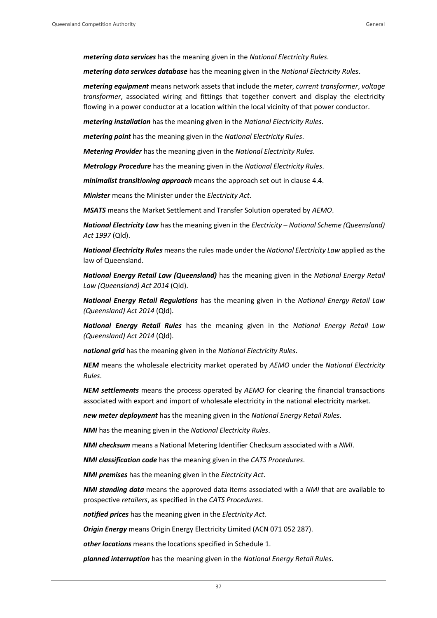*metering data services* has the meaning given in the *National Electricity Rules*.

*metering data services database* has the meaning given in the *National Electricity Rules*.

*metering equipment* means network assets that include the *meter*, *current transformer*, *voltage transformer*, associated wiring and fittings that together convert and display the electricity flowing in a power conductor at a location within the local vicinity of that power conductor.

*metering installation* has the meaning given in the *National Electricity Rules*.

*metering point* has the meaning given in the *National Electricity Rules*.

*Metering Provider* has the meaning given in the *National Electricity Rules*.

*Metrology Procedure* has the meaning given in the *National Electricity Rules*.

*minimalist transitioning approach* means the approach set out in clause 4.4.

*Minister* means the Minister under the *Electricity Act*.

*MSATS* means the Market Settlement and Transfer Solution operated by *AEMO*.

*National Electricity Law* has the meaning given in the *Electricity – National Scheme (Queensland) Act 1997* (Qld).

*National Electricity Rules* means the rules made under the *National Electricity Law* applied as the law of Queensland.

*National Energy Retail Law (Queensland)* has the meaning given in the *National Energy Retail Law (Queensland) Act 2014* (Qld).

*National Energy Retail Regulations* has the meaning given in the *National Energy Retail Law (Queensland) Act 2014* (Qld).

*National Energy Retail Rules* has the meaning given in the *National Energy Retail Law (Queensland) Act 2014* (Qld).

*national grid* has the meaning given in the *National Electricity Rules*.

*NEM* means the wholesale electricity market operated by *AEMO* under the *National Electricity Rules*.

*NEM settlements* means the process operated by *AEMO* for clearing the financial transactions associated with export and import of wholesale electricity in the national electricity market.

*new meter deployment* has the meaning given in the *National Energy Retail Rules*.

*NMI* has the meaning given in the *National Electricity Rules*.

*NMI checksum* means a National Metering Identifier Checksum associated with a *NMI*.

*NMI classification code* has the meaning given in the *CATS Procedures*.

*NMI premises* has the meaning given in the *Electricity Act*.

*NMI standing data* means the approved data items associated with a *NMI* that are available to prospective *retailers*, as specified in the *CATS Procedures*.

*notified prices* has the meaning given in the *Electricity Act*.

*Origin Energy* means Origin Energy Electricity Limited (ACN 071 052 287).

*other locations* means the locations specified in Schedule 1.

*planned interruption* has the meaning given in the *National Energy Retail Rules*.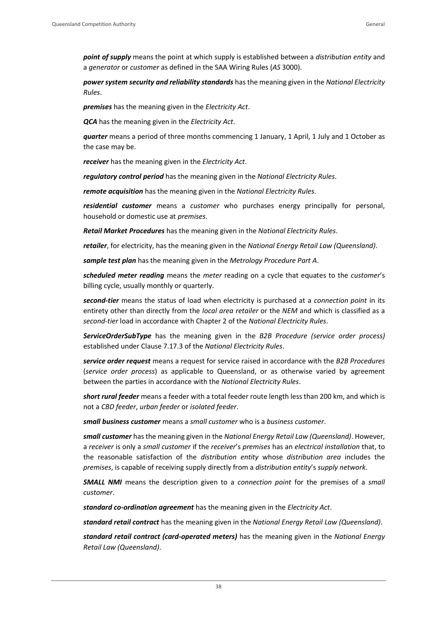*point of supply* means the point at which supply is established between a *distribution entity* and a *generator* or *customer* as defined in the SAA Wiring Rules (*AS* 3000).

*power system security and reliability standards* has the meaning given in the *National Electricity Rules*.

*premises* has the meaning given in the *Electricity Act*.

*QCA* has the meaning given in the *Electricity Act*.

*quarter* means a period of three months commencing 1 January, 1 April, 1 July and 1 October as the case may be.

*receiver* has the meaning given in the *Electricity Act*.

*regulatory control period* has the meaning given in the *National Electricity Rules*.

*remote acquisition* has the meaning given in the *National Electricity Rules*.

*residential customer* means a *customer* who purchases energy principally for personal, household or domestic use at *premises*.

*Retail Market Procedures* has the meaning given in the *National Electricity Rules*.

*retailer*, for electricity, has the meaning given in the *National Energy Retail Law (Queensland)*.

*sample test plan* has the meaning given in the *Metrology Procedure Part A*.

*scheduled meter reading* means the *meter* reading on a cycle that equates to the *customer*'s billing cycle, usually monthly or quarterly.

*second-tier* means the status of load when electricity is purchased at a *connection point* in its entirety other than directly from the *local area retailer* or the *NEM* and which is classified as a *second-tier* load in accordance with Chapter 2 of the *National Electricity Rules*.

*ServiceOrderSubType* has the meaning given in the *B2B Procedure (service order process)* established under Clause 7.17.3 of the *National Electricity Rules*.

*service order request* means a request for service raised in accordance with the *B2B Procedures*  (*service order process*) as applicable to Queensland, or as otherwise varied by agreement between the parties in accordance with the *National Electricity Rules*.

*short rural feeder* means a feeder with a total feeder route length less than 200 km, and which is not a *CBD feeder*, *urban feeder* or *isolated feeder*.

*small business customer* means a *small customer* who is a *business customer*.

*small customer* has the meaning given in the *National Energy Retail Law (Queensland)*. However, a *receiver* is only a *small customer* if the *receiver*'s *premises* has an *electrical installation* that, to the reasonable satisfaction of the *distribution entity* whose *distribution area* includes the *premises*, is capable of receiving supply directly from a *distribution entity*'s *supply network*.

*SMALL NMI* means the description given to a *connection point* for the premises of a *small customer*.

*standard co-ordination agreement* has the meaning given in the *Electricity Act*.

*standard retail contract* has the meaning given in the *National Energy Retail Law (Queensland)*.

*standard retail contract (card-operated meters)* has the meaning given in the *National Energy Retail Law (Queensland)*.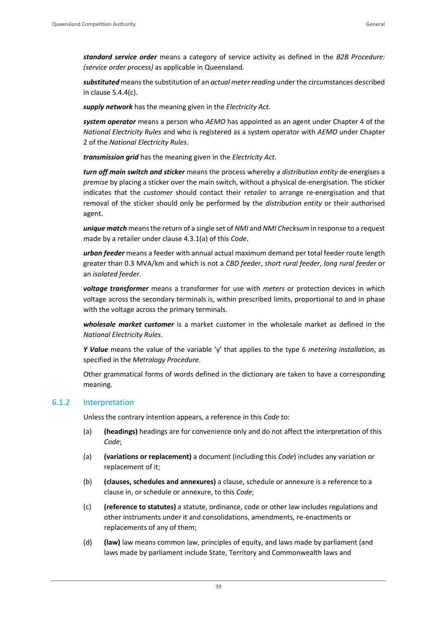*standard service order* means a category of service activity as defined in the *B2B Procedure: (service order process)* as applicable in Queensland.

*substituted* means the substitution of an *actual meter reading* under the circumstances described in clause 5.4.4(c).

*supply network* has the meaning given in the *Electricity Act*.

*system operator* means a person who *AEMO* has appointed as an agent under Chapter 4 of the *National Electricity Rules* and who is registered as a system operator with *AEMO* under Chapter 2 of the *National Electricity Rules*.

*transmission grid* has the meaning given in the *Electricity Act*.

*turn off main switch and sticker* means the process whereby a *distribution entity* de-energises a *premise* by placing a sticker over the main switch, without a physical de-energisation. The sticker indicates that the *customer* should contact their *retailer* to arrange re-energisation and that removal of the sticker should only be performed by the *distribution entity* or their authorised agent.

*unique match* means the return of a single set of *NMI* and *NMI Checksum* in response to a request made by a retailer under clause 4.3.1(a) of this *Code*.

*urban feeder* means a feeder with annual actual maximum demand per total feeder route length greater than 0.3 MVA/km and which is not a *CBD feeder*, *short rural feeder*, *long rural feeder* or an *isolated feeder*.

*voltage transformer* means a transformer for use with *meters* or protection devices in which voltage across the secondary terminals is, within prescribed limits, proportional to and in phase with the voltage across the primary terminals.

*wholesale market customer* is a market customer in the wholesale market as defined in the *National Electricity Rules*.

*Y Value* means the value of the variable 'y' that applies to the type 6 *metering installation*, as specified in the *Metrology Procedure*.

Other grammatical forms of words defined in the dictionary are taken to have a corresponding meaning.

#### <span id="page-43-0"></span>6.1.2 Interpretation

Unless the contrary intention appears, a reference in this *Code* to:

- (a) **(headings)** headings are for convenience only and do not affect the interpretation of this *Code*;
- (a) **(variations or replacement)** a document (including this *Code*) includes any variation or replacement of it;
- (b) **(clauses, schedules and annexures)** a clause, schedule or annexure is a reference to a clause in, or schedule or annexure, to this *Code*;
- (c) **(reference to statutes)** a statute, ordinance, code or other law includes regulations and other instruments under it and consolidations, amendments, re-enactments or replacements of any of them;
- (d) **(law)** law means common law, principles of equity, and laws made by parliament (and laws made by parliament include State, Territory and Commonwealth laws and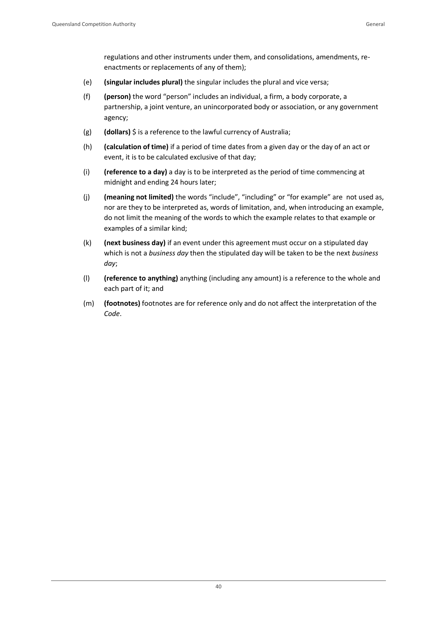regulations and other instruments under them, and consolidations, amendments, reenactments or replacements of any of them);

- (e) **(singular includes plural)** the singular includes the plural and vice versa;
- (f) **(person)** the word "person" includes an individual, a firm, a body corporate, a partnership, a joint venture, an unincorporated body or association, or any government agency;
- (g) **(dollars)** \$ is a reference to the lawful currency of Australia;
- (h) **(calculation of time)** if a period of time dates from a given day or the day of an act or event, it is to be calculated exclusive of that day;
- (i) **(reference to a day)** a day is to be interpreted as the period of time commencing at midnight and ending 24 hours later;
- (j) **(meaning not limited)** the words "include", "including" or "for example" are not used as, nor are they to be interpreted as, words of limitation, and, when introducing an example, do not limit the meaning of the words to which the example relates to that example or examples of a similar kind;
- (k) **(next business day)** if an event under this agreement must occur on a stipulated day which is not a *business day* then the stipulated day will be taken to be the next *business day*;
- (l) **(reference to anything)** anything (including any amount) is a reference to the whole and each part of it; and
- (m) **(footnotes)** footnotes are for reference only and do not affect the interpretation of the *Code*.